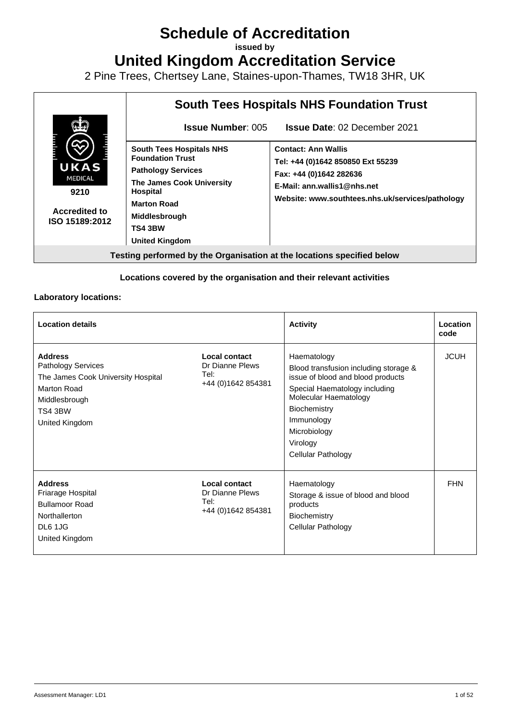# **Schedule of Accreditation**

**issued by**

**United Kingdom Accreditation Service**

2 Pine Trees, Chertsey Lane, Staines-upon-Thames, TW18 3HR, UK



### **Locations covered by the organisation and their relevant activities**

### **Laboratory locations:**

| <b>Location details</b>                                                                                                                        |                                                                 | <b>Activity</b>                                                                                                                                                                                                                            | Location<br>code |
|------------------------------------------------------------------------------------------------------------------------------------------------|-----------------------------------------------------------------|--------------------------------------------------------------------------------------------------------------------------------------------------------------------------------------------------------------------------------------------|------------------|
| <b>Address</b><br><b>Pathology Services</b><br>The James Cook University Hospital<br>Marton Road<br>Middlesbrough<br>TS4 3BW<br>United Kingdom | Local contact<br>Dr Dianne Plews<br>Tel:<br>+44 (0) 1642 854381 | Haematology<br>Blood transfusion including storage &<br>issue of blood and blood products<br>Special Haematology including<br>Molecular Haematology<br><b>Biochemistry</b><br>Immunology<br>Microbiology<br>Virology<br>Cellular Pathology | <b>JCUH</b>      |
| <b>Address</b><br>Friarage Hospital<br><b>Bullamoor Road</b><br>Northallerton<br>DL6 1JG<br>United Kingdom                                     | Local contact<br>Dr Dianne Plews<br>Tel:<br>+44 (0) 1642 854381 | Haematology<br>Storage & issue of blood and blood<br>products<br>Biochemistry<br>Cellular Pathology                                                                                                                                        | <b>FHN</b>       |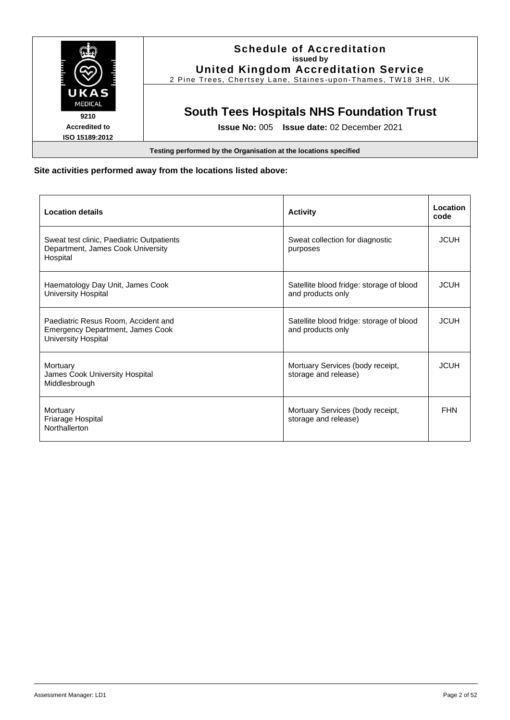

### **Site activities performed away from the locations listed above:**

| <b>Location details</b>                                                                                      | <b>Activity</b>                                               | Location<br>code |
|--------------------------------------------------------------------------------------------------------------|---------------------------------------------------------------|------------------|
| Sweat test clinic, Paediatric Outpatients<br>Department, James Cook University<br>Hospital                   | Sweat collection for diagnostic<br>purposes                   | <b>JCUH</b>      |
| Haematology Day Unit, James Cook<br><b>University Hospital</b>                                               | Satellite blood fridge: storage of blood<br>and products only | <b>JCUH</b>      |
| Paediatric Resus Room, Accident and<br><b>Emergency Department, James Cook</b><br><b>University Hospital</b> | Satellite blood fridge: storage of blood<br>and products only | <b>JCUH</b>      |
| Mortuary<br>James Cook University Hospital<br>Middlesbrough                                                  | Mortuary Services (body receipt,<br>storage and release)      | <b>JCUH</b>      |
| Mortuary<br>Friarage Hospital<br>Northallerton                                                               | Mortuary Services (body receipt,<br>storage and release)      | <b>FHN</b>       |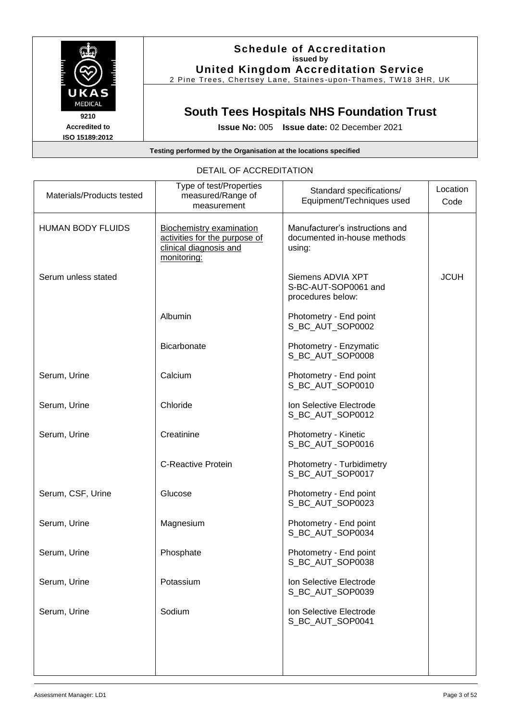

2 Pine Trees, Chertsey Lane, Staines -upon -Thames, TW18 3HR, UK

# **South Tees Hospitals NHS Foundation Trust**

**Issue No:** 005 **Issue date:** 02 December 2021

#### **Testing performed by the Organisation at the locations specified**

| Type of test/Properties<br>measured/Range of<br>measurement                                               | Standard specifications/<br>Equipment/Techniques used                    | Location<br>Code |
|-----------------------------------------------------------------------------------------------------------|--------------------------------------------------------------------------|------------------|
| <b>Biochemistry examination</b><br>activities for the purpose of<br>clinical diagnosis and<br>monitoring: | Manufacturer's instructions and<br>documented in-house methods<br>using: |                  |
|                                                                                                           | Siemens ADVIA XPT<br>S-BC-AUT-SOP0061 and<br>procedures below:           | <b>JCUH</b>      |
| Albumin                                                                                                   | Photometry - End point<br>S_BC_AUT_SOP0002                               |                  |
| <b>Bicarbonate</b>                                                                                        | Photometry - Enzymatic<br>S_BC_AUT_SOP0008                               |                  |
| Calcium                                                                                                   | Photometry - End point<br>S_BC_AUT_SOP0010                               |                  |
| Chloride                                                                                                  | Ion Selective Electrode<br>S_BC_AUT_SOP0012                              |                  |
| Creatinine                                                                                                | Photometry - Kinetic<br>S_BC_AUT_SOP0016                                 |                  |
| <b>C-Reactive Protein</b>                                                                                 | Photometry - Turbidimetry<br>S_BC_AUT_SOP0017                            |                  |
| Glucose                                                                                                   | Photometry - End point<br>S_BC_AUT_SOP0023                               |                  |
| Magnesium                                                                                                 | Photometry - End point<br>S_BC_AUT_SOP0034                               |                  |
| Phosphate                                                                                                 | Photometry - End point<br>S_BC_AUT_SOP0038                               |                  |
| Potassium                                                                                                 | Ion Selective Electrode<br>S_BC_AUT_SOP0039                              |                  |
| Sodium                                                                                                    | Ion Selective Electrode<br>S_BC_AUT_SOP0041                              |                  |
|                                                                                                           |                                                                          |                  |
|                                                                                                           |                                                                          |                  |

### DETAIL OF ACCREDITATION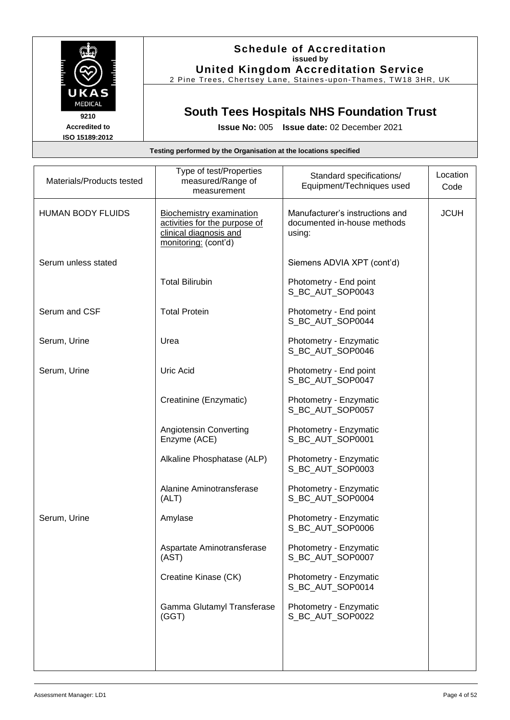

## **Schedule of Accreditation issued by United Kingdom Accreditation Service**

2 Pine Trees, Chertsey Lane, Staines -upon -Thames, TW18 3HR, UK

# **South Tees Hospitals NHS Foundation Trust**

**Issue No:** 005 **Issue date:** 02 December 2021

| Materials/Products tested | Type of test/Properties<br>measured/Range of<br>measurement                                                        | Standard specifications/<br>Equipment/Techniques used                    | Location<br>Code |
|---------------------------|--------------------------------------------------------------------------------------------------------------------|--------------------------------------------------------------------------|------------------|
| <b>HUMAN BODY FLUIDS</b>  | <b>Biochemistry examination</b><br>activities for the purpose of<br>clinical diagnosis and<br>monitoring: (cont'd) | Manufacturer's instructions and<br>documented in-house methods<br>using: | <b>JCUH</b>      |
| Serum unless stated       |                                                                                                                    | Siemens ADVIA XPT (cont'd)                                               |                  |
|                           | <b>Total Bilirubin</b>                                                                                             | Photometry - End point<br>S_BC_AUT_SOP0043                               |                  |
| Serum and CSF             | <b>Total Protein</b>                                                                                               | Photometry - End point<br>S_BC_AUT_SOP0044                               |                  |
| Serum, Urine              | Urea                                                                                                               | Photometry - Enzymatic<br>S_BC_AUT_SOP0046                               |                  |
| Serum, Urine              | <b>Uric Acid</b>                                                                                                   | Photometry - End point<br>S_BC_AUT_SOP0047                               |                  |
|                           | Creatinine (Enzymatic)                                                                                             | Photometry - Enzymatic<br>S_BC_AUT_SOP0057                               |                  |
|                           | Angiotensin Converting<br>Enzyme (ACE)                                                                             | Photometry - Enzymatic<br>S_BC_AUT_SOP0001                               |                  |
|                           | Alkaline Phosphatase (ALP)                                                                                         | Photometry - Enzymatic<br>S_BC_AUT_SOP0003                               |                  |
|                           | Alanine Aminotransferase<br>(ALT)                                                                                  | Photometry - Enzymatic<br>S_BC_AUT_SOP0004                               |                  |
| Serum, Urine              | Amylase                                                                                                            | Photometry - Enzymatic<br>S_BC_AUT_SOP0006                               |                  |
|                           | Aspartate Aminotransferase<br>(AST)                                                                                | Photometry - Enzymatic<br>S_BC_AUT_SOP0007                               |                  |
|                           | Creatine Kinase (CK)                                                                                               | Photometry - Enzymatic<br>S_BC_AUT_SOP0014                               |                  |
|                           | Gamma Glutamyl Transferase<br>(GGT)                                                                                | Photometry - Enzymatic<br>S_BC_AUT_SOP0022                               |                  |
|                           |                                                                                                                    |                                                                          |                  |
|                           |                                                                                                                    |                                                                          |                  |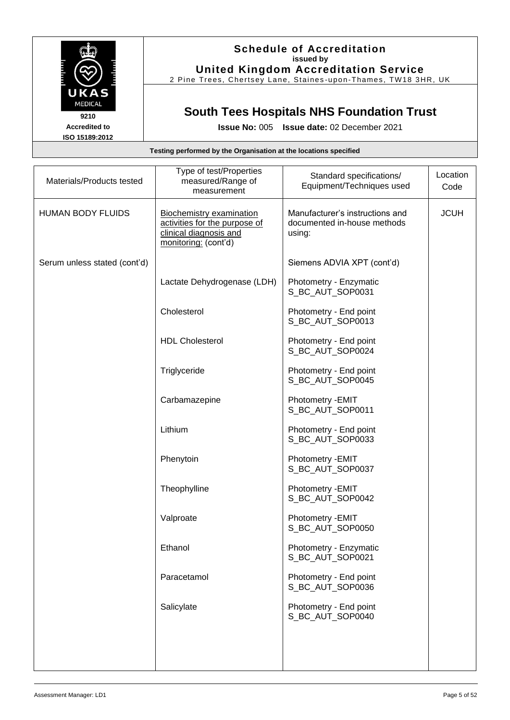

### **Schedule of Accreditation issued by United Kingdom Accreditation Service**

2 Pine Trees, Chertsey Lane, Staines -upon -Thames, TW18 3HR, UK

## **South Tees Hospitals NHS Foundation Trust**

**Issue No:** 005 **Issue date:** 02 December 2021

## **Testing performed by the Organisation at the locations specified** Materials/Products tested Type of test/Properties measured/Range of measurement Standard specifications/ Equipment/Techniques used **Location** Code HUMAN BODY FLUIDS | Biochemistry examination activities for the purpose of clinical diagnosis and monitoring: (cont'd) Manufacturer's instructions and documented in-house methods using: **JCUH** Serum unless stated (cont'd) | Siemens ADVIA XPT (cont'd) Lactate Dehydrogenase (LDH) | Photometry - Enzymatic S\_BC\_AUT\_SOP0031 Cholesterol Photometry - End point S\_BC\_AUT\_SOP0013 HDL Cholesterol **Photometry - End point** S\_BC\_AUT\_SOP0024 Triglyceride **Photometry - End point** S\_BC\_AUT\_SOP0045 Carbamazepine | Photometry -EMIT S\_BC\_AUT\_SOP0011 Lithium **Photometry - End point** S\_BC\_AUT\_SOP0033 Phenytoin **Photometry -EMIT** S\_BC\_AUT\_SOP0037 Theophylline | Photometry -EMIT S\_BC\_AUT\_SOP0042 Valproate Photometry -EMIT S\_BC\_AUT\_SOP0050 Ethanol Photometry - Enzymatic S\_BC\_AUT\_SOP0021 Paracetamol Photometry - End point S\_BC\_AUT\_SOP0036 Salicylate **Photometry - End point** S\_BC\_AUT\_SOP0040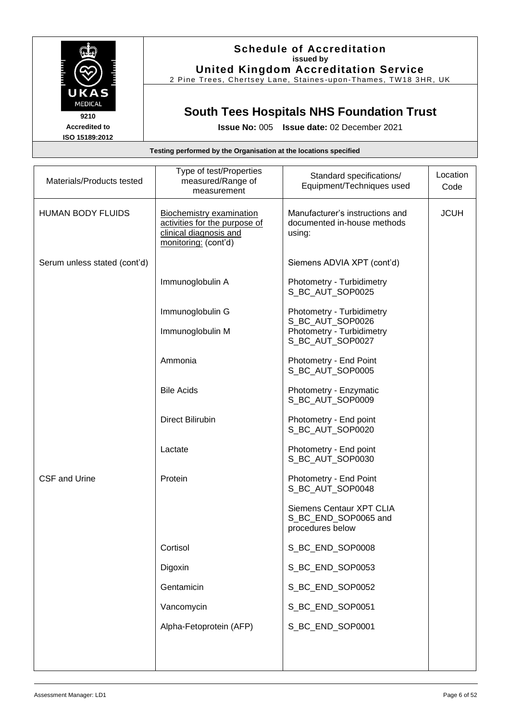

## **Schedule of Accreditation issued by United Kingdom Accreditation Service**

2 Pine Trees, Chertsey Lane, Staines -upon -Thames, TW18 3HR, UK

# **South Tees Hospitals NHS Foundation Trust**

**Issue No:** 005 **Issue date:** 02 December 2021

| Materials/Products tested    | Type of test/Properties<br>measured/Range of<br>measurement                                                 | Standard specifications/<br>Equipment/Techniques used                    | Location<br>Code |
|------------------------------|-------------------------------------------------------------------------------------------------------------|--------------------------------------------------------------------------|------------------|
| <b>HUMAN BODY FLUIDS</b>     | Biochemistry examination<br>activities for the purpose of<br>clinical diagnosis and<br>monitoring: (cont'd) | Manufacturer's instructions and<br>documented in-house methods<br>using: | <b>JCUH</b>      |
| Serum unless stated (cont'd) |                                                                                                             | Siemens ADVIA XPT (cont'd)                                               |                  |
|                              | Immunoglobulin A                                                                                            | Photometry - Turbidimetry<br>S_BC_AUT_SOP0025                            |                  |
|                              | Immunoglobulin G                                                                                            | Photometry - Turbidimetry<br>S_BC_AUT_SOP0026                            |                  |
|                              | Immunoglobulin M                                                                                            | Photometry - Turbidimetry<br>S_BC_AUT_SOP0027                            |                  |
|                              | Ammonia                                                                                                     | Photometry - End Point<br>S_BC_AUT_SOP0005                               |                  |
|                              | <b>Bile Acids</b>                                                                                           | Photometry - Enzymatic<br>S_BC_AUT_SOP0009                               |                  |
|                              | <b>Direct Bilirubin</b>                                                                                     | Photometry - End point<br>S_BC_AUT_SOP0020                               |                  |
|                              | Lactate                                                                                                     | Photometry - End point<br>S_BC_AUT_SOP0030                               |                  |
| <b>CSF and Urine</b>         | Protein                                                                                                     | Photometry - End Point<br>S_BC_AUT_SOP0048                               |                  |
|                              |                                                                                                             | Siemens Centaur XPT CLIA<br>S_BC_END_SOP0065 and<br>procedures below     |                  |
|                              | Cortisol                                                                                                    | S_BC_END_SOP0008                                                         |                  |
|                              | Digoxin                                                                                                     | S_BC_END_SOP0053                                                         |                  |
|                              | Gentamicin                                                                                                  | S_BC_END_SOP0052                                                         |                  |
|                              | Vancomycin                                                                                                  | S_BC_END_SOP0051                                                         |                  |
|                              | Alpha-Fetoprotein (AFP)                                                                                     | S_BC_END_SOP0001                                                         |                  |
|                              |                                                                                                             |                                                                          |                  |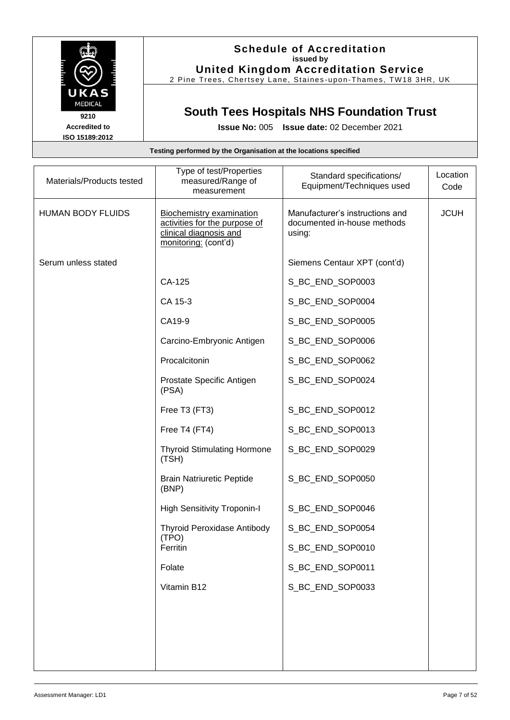

## **Schedule of Accreditation issued by United Kingdom Accreditation Service**

2 Pine Trees, Chertsey Lane, Staines -upon -Thames, TW18 3HR, UK

# **South Tees Hospitals NHS Foundation Trust**

| Testing performed by the Organisation at the locations specified |                                                                                                                    |                                                                          |                  |
|------------------------------------------------------------------|--------------------------------------------------------------------------------------------------------------------|--------------------------------------------------------------------------|------------------|
| Materials/Products tested                                        | Type of test/Properties<br>measured/Range of<br>measurement                                                        | Standard specifications/<br>Equipment/Techniques used                    | Location<br>Code |
| <b>HUMAN BODY FLUIDS</b>                                         | <b>Biochemistry examination</b><br>activities for the purpose of<br>clinical diagnosis and<br>monitoring: (cont'd) | Manufacturer's instructions and<br>documented in-house methods<br>using: | <b>JCUH</b>      |
| Serum unless stated                                              |                                                                                                                    | Siemens Centaur XPT (cont'd)                                             |                  |
|                                                                  | CA-125                                                                                                             | S_BC_END_SOP0003                                                         |                  |
|                                                                  | CA 15-3                                                                                                            | S_BC_END_SOP0004                                                         |                  |
|                                                                  | CA19-9                                                                                                             | S_BC_END_SOP0005                                                         |                  |
|                                                                  | Carcino-Embryonic Antigen                                                                                          | S_BC_END_SOP0006                                                         |                  |
|                                                                  | Procalcitonin                                                                                                      | S_BC_END_SOP0062                                                         |                  |
|                                                                  | Prostate Specific Antigen<br>(PSA)                                                                                 | S_BC_END_SOP0024                                                         |                  |
|                                                                  | Free T3 (FT3)                                                                                                      | S_BC_END_SOP0012                                                         |                  |
|                                                                  | Free T4 (FT4)                                                                                                      | S_BC_END_SOP0013                                                         |                  |
|                                                                  | <b>Thyroid Stimulating Hormone</b><br>(TSH)                                                                        | S_BC_END_SOP0029                                                         |                  |
|                                                                  | <b>Brain Natriuretic Peptide</b><br>(BNP)                                                                          | S_BC_END_SOP0050                                                         |                  |
|                                                                  | <b>High Sensitivity Troponin-I</b>                                                                                 | S_BC_END_SOP0046                                                         |                  |
|                                                                  | <b>Thyroid Peroxidase Antibody</b><br>(TPO)                                                                        | S_BC_END_SOP0054                                                         |                  |
|                                                                  | Ferritin                                                                                                           | S_BC_END_SOP0010                                                         |                  |
|                                                                  | Folate                                                                                                             | S_BC_END_SOP0011                                                         |                  |
|                                                                  | Vitamin B12                                                                                                        | S_BC_END_SOP0033                                                         |                  |
|                                                                  |                                                                                                                    |                                                                          |                  |
|                                                                  |                                                                                                                    |                                                                          |                  |
|                                                                  |                                                                                                                    |                                                                          |                  |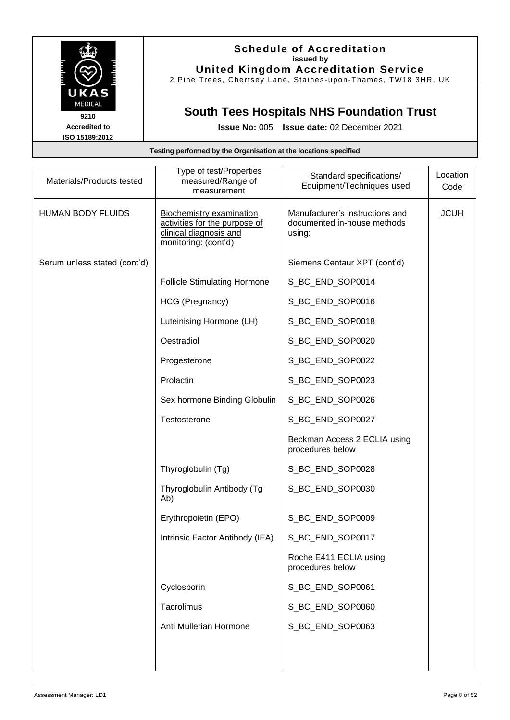

### **Schedule of Accreditation issued by United Kingdom Accreditation Service**

2 Pine Trees, Chertsey Lane, Staines -upon -Thames, TW18 3HR, UK

## **South Tees Hospitals NHS Foundation Trust**

**Issue No:** 005 **Issue date:** 02 December 2021

## **Testing performed by the Organisation at the locations specified** Materials/Products tested Type of test/Properties measured/Range of measurement Standard specifications/ Equipment/Techniques used **Location** Code HUMAN BODY FLUIDS | Biochemistry examination activities for the purpose of clinical diagnosis and monitoring: (cont'd) Manufacturer's instructions and documented in-house methods using: JCUH Serum unless stated (cont'd) | Siemens Centaur XPT (cont'd) Follicle Stimulating Hormone | S\_BC\_END\_SOP0014 HCG (Pregnancy) | S\_BC\_END\_SOP0016 Luteinising Hormone (LH) | S\_BC\_END\_SOP0018 Oestradiol S\_BC\_END\_SOP0020 Progesterone Same Superintendent Superintendent Superintendent SCP0022 Prolactin Sopo023 Sex hormone Binding Globulin | S BC END SOP0026 Testosterone Sabel Superintendent Superintendent Superintendent Superintendent Superintendent Superintendent S Beckman Access 2 ECLIA using procedures below Thyroglobulin (Tg) S\_BC\_END\_SOP0028 Thyroglobulin Antibody (Tg Ab) S\_BC\_END\_SOP0030 Erythropoietin (EPO) SQP0009 Intrinsic Factor Antibody (IFA) | S\_BC\_END\_SOP0017 Roche E411 ECLIA using procedures below Cyclosporin SQP0061 Tacrolimus | S BC END SOP0060 Anti Mullerian Hormone | S\_BC\_END\_SOP0063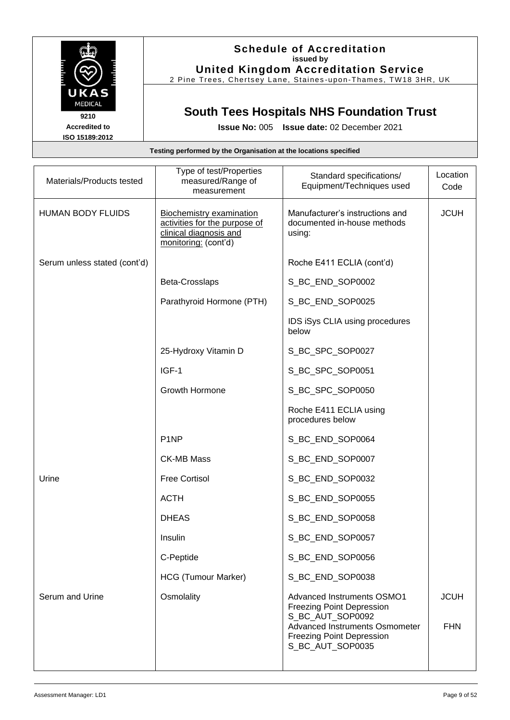

## **Schedule of Accreditation issued by United Kingdom Accreditation Service**

2 Pine Trees, Chertsey Lane, Staines -upon -Thames, TW18 3HR, UK

# **South Tees Hospitals NHS Foundation Trust**

**Issue No:** 005 **Issue date:** 02 December 2021

| Materials/Products tested    | Type of test/Properties<br>measured/Range of<br>measurement                                                        | Standard specifications/<br>Equipment/Techniques used                                                                                                                                      | Location<br>Code          |
|------------------------------|--------------------------------------------------------------------------------------------------------------------|--------------------------------------------------------------------------------------------------------------------------------------------------------------------------------------------|---------------------------|
| <b>HUMAN BODY FLUIDS</b>     | <b>Biochemistry examination</b><br>activities for the purpose of<br>clinical diagnosis and<br>monitoring: (cont'd) | Manufacturer's instructions and<br>documented in-house methods<br>using:                                                                                                                   | <b>JCUH</b>               |
| Serum unless stated (cont'd) |                                                                                                                    | Roche E411 ECLIA (cont'd)                                                                                                                                                                  |                           |
|                              | Beta-Crosslaps                                                                                                     | S_BC_END_SOP0002                                                                                                                                                                           |                           |
|                              | Parathyroid Hormone (PTH)                                                                                          | S_BC_END_SOP0025                                                                                                                                                                           |                           |
|                              |                                                                                                                    | IDS iSys CLIA using procedures<br>below                                                                                                                                                    |                           |
|                              | 25-Hydroxy Vitamin D                                                                                               | S_BC_SPC_SOP0027                                                                                                                                                                           |                           |
|                              | IGF-1                                                                                                              | S_BC_SPC_SOP0051                                                                                                                                                                           |                           |
|                              | Growth Hormone                                                                                                     | S_BC_SPC_SOP0050                                                                                                                                                                           |                           |
|                              |                                                                                                                    | Roche E411 ECLIA using<br>procedures below                                                                                                                                                 |                           |
|                              | P <sub>1</sub> NP                                                                                                  | S_BC_END_SOP0064                                                                                                                                                                           |                           |
|                              | <b>CK-MB Mass</b>                                                                                                  | S_BC_END_SOP0007                                                                                                                                                                           |                           |
| Urine                        | <b>Free Cortisol</b>                                                                                               | S_BC_END_SOP0032                                                                                                                                                                           |                           |
|                              | <b>ACTH</b>                                                                                                        | S_BC_END_SOP0055                                                                                                                                                                           |                           |
|                              | <b>DHEAS</b>                                                                                                       | S_BC_END_SOP0058                                                                                                                                                                           |                           |
|                              | Insulin                                                                                                            | S_BC_END_SOP0057                                                                                                                                                                           |                           |
|                              | C-Peptide                                                                                                          | S_BC_END_SOP0056                                                                                                                                                                           |                           |
|                              | HCG (Tumour Marker)                                                                                                | S_BC_END_SOP0038                                                                                                                                                                           |                           |
| Serum and Urine              | Osmolality                                                                                                         | <b>Advanced Instruments OSMO1</b><br><b>Freezing Point Depression</b><br>S_BC_AUT_SOP0092<br><b>Advanced Instruments Osmometer</b><br><b>Freezing Point Depression</b><br>S_BC_AUT_SOP0035 | <b>JCUH</b><br><b>FHN</b> |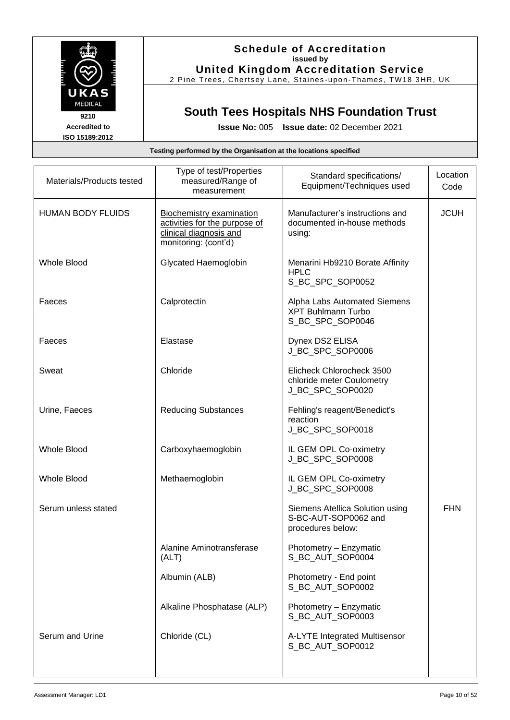

## **Schedule of Accreditation issued by United Kingdom Accreditation Service**

2 Pine Trees, Chertsey Lane, Staines -upon -Thames, TW18 3HR, UK

# **South Tees Hospitals NHS Foundation Trust**

**Issue No:** 005 **Issue date:** 02 December 2021

| Materials/Products tested | Type of test/Properties<br>measured/Range of<br>measurement                                                        | Standard specifications/<br>Equipment/Techniques used                         | Location<br>Code |
|---------------------------|--------------------------------------------------------------------------------------------------------------------|-------------------------------------------------------------------------------|------------------|
| <b>HUMAN BODY FLUIDS</b>  | <b>Biochemistry examination</b><br>activities for the purpose of<br>clinical diagnosis and<br>monitoring: (cont'd) | Manufacturer's instructions and<br>documented in-house methods<br>using:      | <b>JCUH</b>      |
| Whole Blood               | Glycated Haemoglobin                                                                                               | Menarini Hb9210 Borate Affinity<br><b>HPLC</b><br>S_BC_SPC_SOP0052            |                  |
| Faeces                    | Calprotectin                                                                                                       | Alpha Labs Automated Siemens<br><b>XPT Buhlmann Turbo</b><br>S_BC_SPC_SOP0046 |                  |
| Faeces                    | Elastase                                                                                                           | Dynex DS2 ELISA<br>J BC SPC SOP0006                                           |                  |
| Sweat                     | Chloride                                                                                                           | Elicheck Chlorocheck 3500<br>chloride meter Coulometry<br>J_BC_SPC_SOP0020    |                  |
| Urine, Faeces             | <b>Reducing Substances</b>                                                                                         | Fehling's reagent/Benedict's<br>reaction<br>J_BC_SPC_SOP0018                  |                  |
| <b>Whole Blood</b>        | Carboxyhaemoglobin                                                                                                 | IL GEM OPL Co-oximetry<br>J_BC_SPC_SOP0008                                    |                  |
| <b>Whole Blood</b>        | Methaemoglobin                                                                                                     | IL GEM OPL Co-oximetry<br>J_BC_SPC_SOP0008                                    |                  |
| Serum unless stated       |                                                                                                                    | Siemens Atellica Solution using<br>S-BC-AUT-SOP0062 and<br>procedures below:  | <b>FHN</b>       |
|                           | Alanine Aminotransferase<br>(ALT)                                                                                  | Photometry - Enzymatic<br>S_BC_AUT_SOP0004                                    |                  |
|                           | Albumin (ALB)                                                                                                      | Photometry - End point<br>S_BC_AUT_SOP0002                                    |                  |
|                           | Alkaline Phosphatase (ALP)                                                                                         | Photometry - Enzymatic<br>S BC AUT SOP0003                                    |                  |
| Serum and Urine           | Chloride (CL)                                                                                                      | A-LYTE Integrated Multisensor<br>S BC AUT SOP0012                             |                  |
|                           |                                                                                                                    |                                                                               |                  |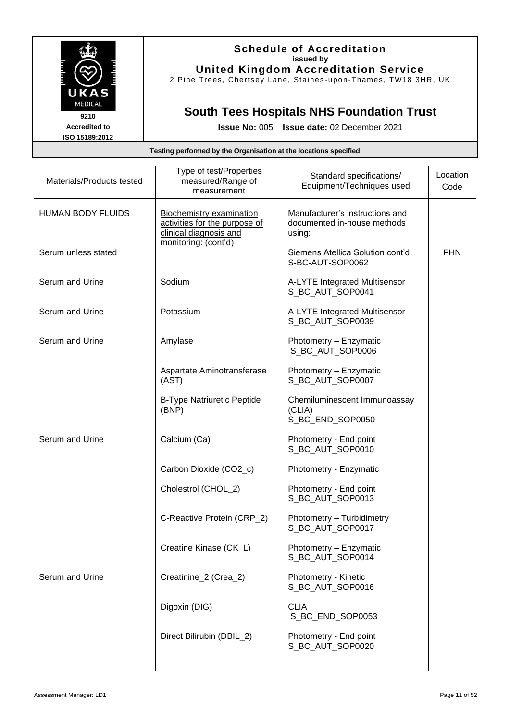

### **Schedule of Accreditation issued by United Kingdom Accreditation Service**

2 Pine Trees, Chertsey Lane, Staines -upon -Thames, TW18 3HR, UK

# **South Tees Hospitals NHS Foundation Trust**

**Issue No:** 005 **Issue date:** 02 December 2021

| Materials/Products tested | Type of test/Properties<br>measured/Range of<br>measurement                                | Standard specifications/<br>Equipment/Techniques used                    | Location<br>Code |
|---------------------------|--------------------------------------------------------------------------------------------|--------------------------------------------------------------------------|------------------|
| <b>HUMAN BODY FLUIDS</b>  | <b>Biochemistry examination</b><br>activities for the purpose of<br>clinical diagnosis and | Manufacturer's instructions and<br>documented in-house methods<br>using: |                  |
| Serum unless stated       | monitoring: (cont'd)                                                                       | Siemens Atellica Solution cont'd<br>S-BC-AUT-SOP0062                     | <b>FHN</b>       |
| Serum and Urine           | Sodium                                                                                     | A-LYTE Integrated Multisensor<br>S_BC_AUT_SOP0041                        |                  |
| Serum and Urine           | Potassium                                                                                  | A-LYTE Integrated Multisensor<br>S_BC_AUT_SOP0039                        |                  |
| Serum and Urine           | Amylase                                                                                    | Photometry - Enzymatic<br>S_BC_AUT_SOP0006                               |                  |
|                           | Aspartate Aminotransferase<br>(AST)                                                        | Photometry - Enzymatic<br>S_BC_AUT_SOP0007                               |                  |
|                           | <b>B-Type Natriuretic Peptide</b><br>(BNP)                                                 | Chemiluminescent Immunoassay<br>(CLIA)<br>S_BC_END_SOP0050               |                  |
| Serum and Urine           | Calcium (Ca)                                                                               | Photometry - End point<br>S_BC_AUT_SOP0010                               |                  |
|                           | Carbon Dioxide (CO2_c)                                                                     | Photometry - Enzymatic                                                   |                  |
|                           | Cholestrol (CHOL_2)                                                                        | Photometry - End point<br>S_BC_AUT_SOP0013                               |                  |
|                           | C-Reactive Protein (CRP_2)                                                                 | Photometry - Turbidimetry<br>S BC AUT SOP0017                            |                  |
|                           | Creatine Kinase (CK_L)                                                                     | Photometry - Enzymatic<br>S_BC_AUT_SOP0014                               |                  |
| Serum and Urine           | Creatinine_2 (Crea_2)                                                                      | Photometry - Kinetic<br>S BC AUT SOP0016                                 |                  |
|                           | Digoxin (DIG)                                                                              | <b>CLIA</b><br>S_BC_END_SOP0053                                          |                  |
|                           | Direct Bilirubin (DBIL_2)                                                                  | Photometry - End point<br>S_BC_AUT_SOP0020                               |                  |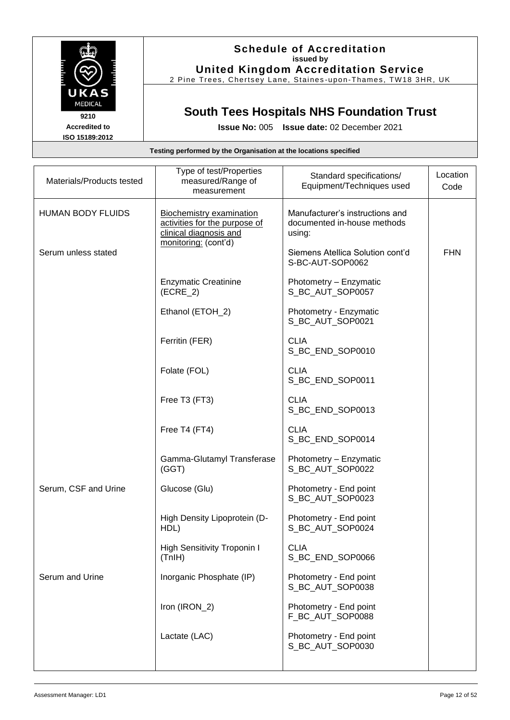

## **Schedule of Accreditation issued by United Kingdom Accreditation Service**

2 Pine Trees, Chertsey Lane, Staines -upon -Thames, TW18 3HR, UK

# **South Tees Hospitals NHS Foundation Trust**

**Issue No:** 005 **Issue date:** 02 December 2021

| Materials/Products tested | Type of test/Properties<br>measured/Range of<br>measurement                                | Standard specifications/<br>Equipment/Techniques used                    | Location<br>Code |
|---------------------------|--------------------------------------------------------------------------------------------|--------------------------------------------------------------------------|------------------|
| <b>HUMAN BODY FLUIDS</b>  | <b>Biochemistry examination</b><br>activities for the purpose of<br>clinical diagnosis and | Manufacturer's instructions and<br>documented in-house methods<br>using: |                  |
| Serum unless stated       | monitoring: (cont'd)                                                                       | Siemens Atellica Solution cont'd<br>S-BC-AUT-SOP0062                     | <b>FHN</b>       |
|                           | <b>Enzymatic Creatinine</b><br>$(ECRE_2)$                                                  | Photometry - Enzymatic<br>S_BC_AUT_SOP0057                               |                  |
|                           | Ethanol (ETOH_2)                                                                           | Photometry - Enzymatic<br>S_BC_AUT_SOP0021                               |                  |
|                           | Ferritin (FER)                                                                             | <b>CLIA</b><br>S_BC_END_SOP0010                                          |                  |
|                           | Folate (FOL)                                                                               | <b>CLIA</b><br>S_BC_END_SOP0011                                          |                  |
|                           | Free T3 (FT3)                                                                              | <b>CLIA</b><br>S_BC_END_SOP0013                                          |                  |
|                           | Free T4 (FT4)                                                                              | <b>CLIA</b><br>S_BC_END_SOP0014                                          |                  |
|                           | Gamma-Glutamyl Transferase<br>(GGT)                                                        | Photometry - Enzymatic<br>S_BC_AUT_SOP0022                               |                  |
| Serum, CSF and Urine      | Glucose (Glu)                                                                              | Photometry - End point<br>S_BC_AUT_SOP0023                               |                  |
|                           | High Density Lipoprotein (D-<br>HDL)                                                       | Photometry - End point<br>S_BC_AUT_SOP0024                               |                  |
|                           | High Sensitivity Troponin I<br>(Think)                                                     | <b>CLIA</b><br>S_BC_END_SOP0066                                          |                  |
| Serum and Urine           | Inorganic Phosphate (IP)                                                                   | Photometry - End point<br>S BC AUT SOP0038                               |                  |
|                           | Iron (IRON_2)                                                                              | Photometry - End point<br>F_BC_AUT_SOP0088                               |                  |
|                           | Lactate (LAC)                                                                              | Photometry - End point<br>S_BC_AUT_SOP0030                               |                  |
|                           |                                                                                            |                                                                          |                  |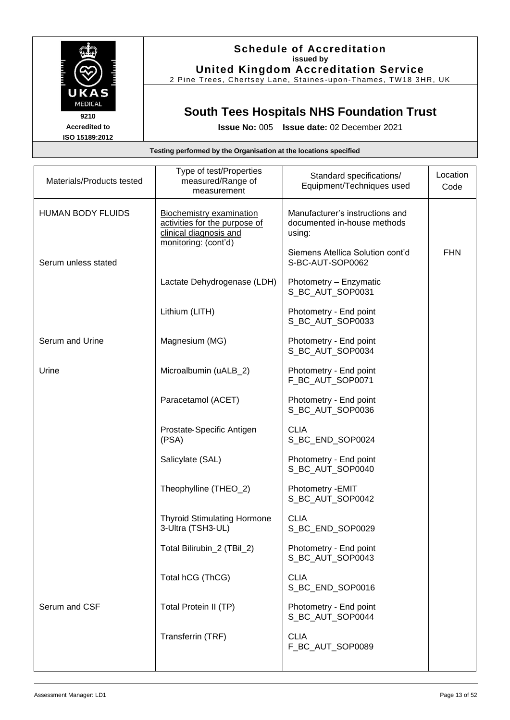

## **Schedule of Accreditation issued by United Kingdom Accreditation Service**

2 Pine Trees, Chertsey Lane, Staines -upon -Thames, TW18 3HR, UK

# **South Tees Hospitals NHS Foundation Trust**

**Issue No:** 005 **Issue date:** 02 December 2021

| Materials/Products tested | Type of test/Properties<br>measured/Range of<br>measurement                                                 | Standard specifications/<br>Equipment/Techniques used                    | Location<br>Code |
|---------------------------|-------------------------------------------------------------------------------------------------------------|--------------------------------------------------------------------------|------------------|
| <b>HUMAN BODY FLUIDS</b>  | Biochemistry examination<br>activities for the purpose of<br>clinical diagnosis and<br>monitoring: (cont'd) | Manufacturer's instructions and<br>documented in-house methods<br>using: |                  |
| Serum unless stated       |                                                                                                             | Siemens Atellica Solution cont'd<br>S-BC-AUT-SOP0062                     | <b>FHN</b>       |
|                           | Lactate Dehydrogenase (LDH)                                                                                 | Photometry - Enzymatic<br>S_BC_AUT_SOP0031                               |                  |
|                           | Lithium (LITH)                                                                                              | Photometry - End point<br>S_BC_AUT_SOP0033                               |                  |
| Serum and Urine           | Magnesium (MG)                                                                                              | Photometry - End point<br>S_BC_AUT_SOP0034                               |                  |
| Urine                     | Microalbumin (uALB_2)                                                                                       | Photometry - End point<br>F_BC_AUT_SOP0071                               |                  |
|                           | Paracetamol (ACET)                                                                                          | Photometry - End point<br>S_BC_AUT_SOP0036                               |                  |
|                           | Prostate-Specific Antigen<br>(PSA)                                                                          | <b>CLIA</b><br>S_BC_END_SOP0024                                          |                  |
|                           | Salicylate (SAL)                                                                                            | Photometry - End point<br>S_BC_AUT_SOP0040                               |                  |
|                           | Theophylline (THEO_2)                                                                                       | Photometry - EMIT<br>S_BC_AUT_SOP0042                                    |                  |
|                           | <b>Thyroid Stimulating Hormone</b><br>3-Ultra (TSH3-UL)                                                     | <b>CLIA</b><br>S_BC_END_SOP0029                                          |                  |
|                           | Total Bilirubin_2 (TBil_2)                                                                                  | Photometry - End point<br>S_BC_AUT_SOP0043                               |                  |
|                           | Total hCG (ThCG)                                                                                            | <b>CLIA</b><br>S_BC_END_SOP0016                                          |                  |
| Serum and CSF             | Total Protein II (TP)                                                                                       | Photometry - End point<br>S_BC_AUT_SOP0044                               |                  |
|                           | Transferrin (TRF)                                                                                           | <b>CLIA</b><br>F_BC_AUT_SOP0089                                          |                  |
|                           |                                                                                                             |                                                                          |                  |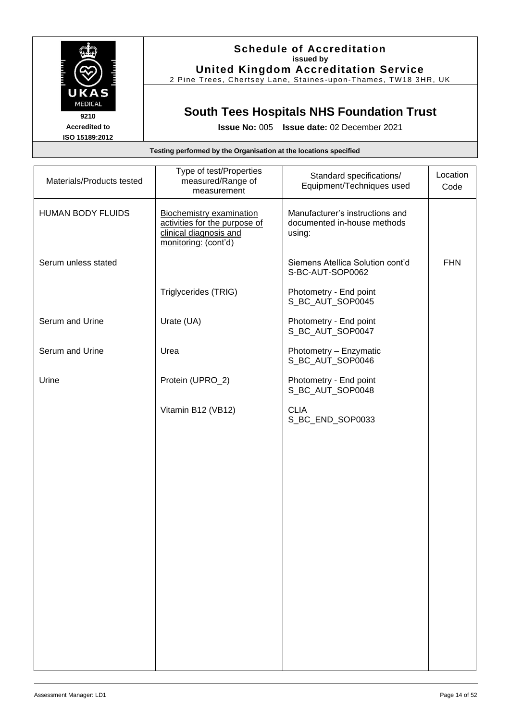

### **Schedule of Accreditation issued by United Kingdom Accreditation Service**

2 Pine Trees, Chertsey Lane, Staines -upon -Thames, TW18 3HR, UK

# **South Tees Hospitals NHS Foundation Trust**

**Issue No:** 005 **Issue date:** 02 December 2021

| Materials/Products tested | Type of test/Properties<br>measured/Range of<br>measurement                                                 | Standard specifications/<br>Equipment/Techniques used                    | Location<br>Code |
|---------------------------|-------------------------------------------------------------------------------------------------------------|--------------------------------------------------------------------------|------------------|
| <b>HUMAN BODY FLUIDS</b>  | Biochemistry examination<br>activities for the purpose of<br>clinical diagnosis and<br>monitoring: (cont'd) | Manufacturer's instructions and<br>documented in-house methods<br>using: |                  |
| Serum unless stated       |                                                                                                             | Siemens Atellica Solution cont'd<br>S-BC-AUT-SOP0062                     | <b>FHN</b>       |
|                           | Triglycerides (TRIG)                                                                                        | Photometry - End point<br>S_BC_AUT_SOP0045                               |                  |
| Serum and Urine           | Urate (UA)                                                                                                  | Photometry - End point<br>S_BC_AUT_SOP0047                               |                  |
| Serum and Urine           | Urea                                                                                                        | Photometry - Enzymatic<br>S_BC_AUT_SOP0046                               |                  |
| Urine                     | Protein (UPRO_2)                                                                                            | Photometry - End point<br>S_BC_AUT_SOP0048                               |                  |
|                           | Vitamin B12 (VB12)                                                                                          | <b>CLIA</b><br>S_BC_END_SOP0033                                          |                  |
|                           |                                                                                                             |                                                                          |                  |
|                           |                                                                                                             |                                                                          |                  |
|                           |                                                                                                             |                                                                          |                  |
|                           |                                                                                                             |                                                                          |                  |
|                           |                                                                                                             |                                                                          |                  |
|                           |                                                                                                             |                                                                          |                  |
|                           |                                                                                                             |                                                                          |                  |
|                           |                                                                                                             |                                                                          |                  |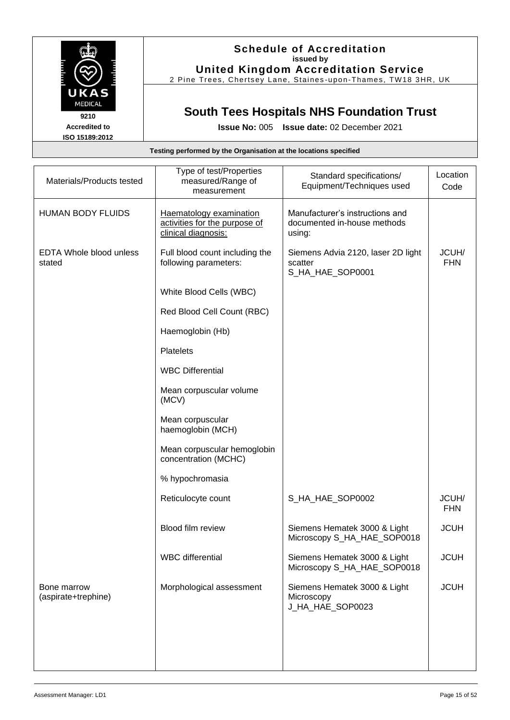

### **Schedule of Accreditation issued by United Kingdom Accreditation Service**

2 Pine Trees, Chertsey Lane, Staines -upon -Thames, TW18 3HR, UK

# **South Tees Hospitals NHS Foundation Trust**

**Issue No:** 005 **Issue date:** 02 December 2021

| Materials/Products tested          | Type of test/Properties<br>measured/Range of<br>measurement                     | Standard specifications/<br>Equipment/Techniques used                    | Location<br>Code    |
|------------------------------------|---------------------------------------------------------------------------------|--------------------------------------------------------------------------|---------------------|
| <b>HUMAN BODY FLUIDS</b>           | Haematology examination<br>activities for the purpose of<br>clinical diagnosis: | Manufacturer's instructions and<br>documented in-house methods<br>using: |                     |
| EDTA Whole blood unless<br>stated  | Full blood count including the<br>following parameters:                         | Siemens Advia 2120, laser 2D light<br>scatter<br>S_HA_HAE_SOP0001        | JCUH/<br><b>FHN</b> |
|                                    | White Blood Cells (WBC)                                                         |                                                                          |                     |
|                                    | Red Blood Cell Count (RBC)                                                      |                                                                          |                     |
|                                    | Haemoglobin (Hb)                                                                |                                                                          |                     |
|                                    | <b>Platelets</b>                                                                |                                                                          |                     |
|                                    | <b>WBC Differential</b>                                                         |                                                                          |                     |
|                                    | Mean corpuscular volume<br>(MCV)                                                |                                                                          |                     |
|                                    | Mean corpuscular<br>haemoglobin (MCH)                                           |                                                                          |                     |
|                                    | Mean corpuscular hemoglobin<br>concentration (MCHC)                             |                                                                          |                     |
|                                    | % hypochromasia                                                                 |                                                                          |                     |
|                                    | Reticulocyte count                                                              | S_HA_HAE_SOP0002                                                         | JCUH/<br><b>FHN</b> |
|                                    | Blood film review                                                               | Siemens Hematek 3000 & Light<br>Microscopy S_HA_HAE_SOP0018              | <b>JCUH</b>         |
|                                    | <b>WBC</b> differential                                                         | Siemens Hematek 3000 & Light<br>Microscopy S_HA_HAE_SOP0018              | <b>JCUH</b>         |
| Bone marrow<br>(aspirate+trephine) | Morphological assessment                                                        | Siemens Hematek 3000 & Light<br>Microscopy<br>J_HA_HAE_SOP0023           | <b>JCUH</b>         |
|                                    |                                                                                 |                                                                          |                     |
|                                    |                                                                                 |                                                                          |                     |
|                                    |                                                                                 |                                                                          |                     |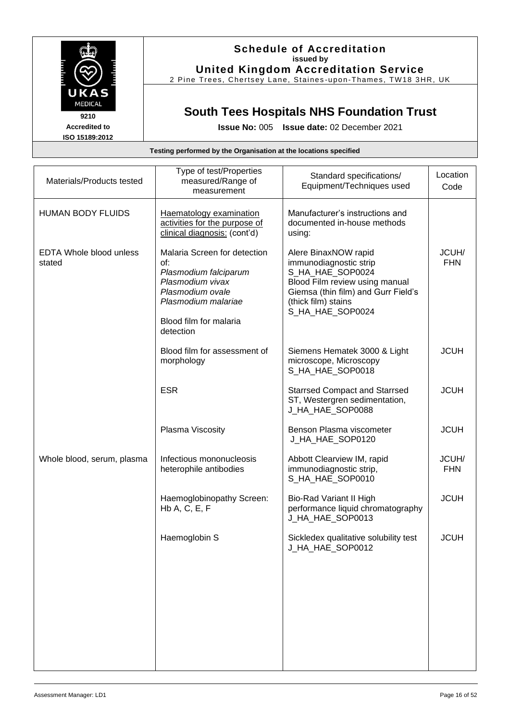

2 Pine Trees, Chertsey Lane, Staines -upon -Thames, TW18 3HR, UK

## **South Tees Hospitals NHS Foundation Trust**

**Issue No:** 005 **Issue date:** 02 December 2021

| Materials/Products tested                | Type of test/Properties<br>measured/Range of<br>measurement                                                                                                        | Standard specifications/<br>Equipment/Techniques used                                                                                                                                  | Location<br>Code    |
|------------------------------------------|--------------------------------------------------------------------------------------------------------------------------------------------------------------------|----------------------------------------------------------------------------------------------------------------------------------------------------------------------------------------|---------------------|
| <b>HUMAN BODY FLUIDS</b>                 | Haematology examination<br>activities for the purpose of<br>clinical diagnosis: (cont'd)                                                                           | Manufacturer's instructions and<br>documented in-house methods<br>using:                                                                                                               |                     |
| <b>EDTA Whole blood unless</b><br>stated | Malaria Screen for detection<br>of:<br>Plasmodium falciparum<br>Plasmodium vivax<br>Plasmodium ovale<br>Plasmodium malariae<br>Blood film for malaria<br>detection | Alere BinaxNOW rapid<br>immunodiagnostic strip<br>S_HA_HAE_SOP0024<br>Blood Film review using manual<br>Giemsa (thin film) and Gurr Field's<br>(thick film) stains<br>S_HA_HAE_SOP0024 | JCUH/<br><b>FHN</b> |
|                                          | Blood film for assessment of<br>morphology                                                                                                                         | Siemens Hematek 3000 & Light<br>microscope, Microscopy<br>S_HA_HAE_SOP0018                                                                                                             | <b>JCUH</b>         |
|                                          | <b>ESR</b>                                                                                                                                                         | <b>Starrsed Compact and Starrsed</b><br>ST, Westergren sedimentation,<br>J_HA_HAE_SOP0088                                                                                              | <b>JCUH</b>         |
|                                          | Plasma Viscosity                                                                                                                                                   | Benson Plasma viscometer<br>J_HA_HAE_SOP0120                                                                                                                                           | <b>JCUH</b>         |
| Whole blood, serum, plasma               | Infectious mononucleosis<br>heterophile antibodies                                                                                                                 | Abbott Clearview IM, rapid<br>immunodiagnostic strip,<br>S_HA_HAE_SOP0010                                                                                                              | JCUH/<br><b>FHN</b> |
|                                          | Haemoglobinopathy Screen:<br>HbA, C, E, F                                                                                                                          | Bio-Rad Variant II High<br>performance liquid chromatography<br>J_HA_HAE_SOP0013                                                                                                       | <b>JCUH</b>         |
|                                          | Haemoglobin S                                                                                                                                                      | Sickledex qualitative solubility test<br>J_HA_HAE_SOP0012                                                                                                                              | <b>JCUH</b>         |
|                                          |                                                                                                                                                                    |                                                                                                                                                                                        |                     |
|                                          |                                                                                                                                                                    |                                                                                                                                                                                        |                     |
|                                          |                                                                                                                                                                    |                                                                                                                                                                                        |                     |

**Testing performed by the Organisation at the locations specified**

**Accredited to ISO 15189:2012**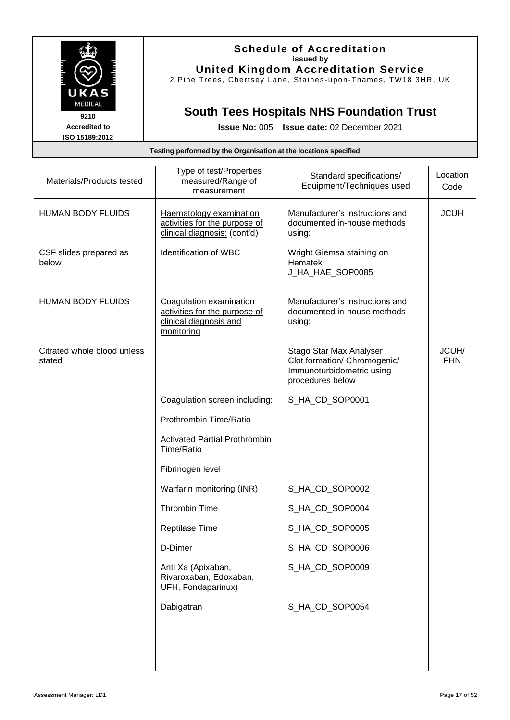

## **Schedule of Accreditation issued by United Kingdom Accreditation Service**

2 Pine Trees, Chertsey Lane, Staines -upon -Thames, TW18 3HR, UK

# **South Tees Hospitals NHS Foundation Trust**

| Testing performed by the Organisation at the locations specified |  |  |
|------------------------------------------------------------------|--|--|
|------------------------------------------------------------------|--|--|

| Materials/Products tested             | Type of test/Properties<br>measured/Range of<br>measurement                                      | Standard specifications/<br>Equipment/Techniques used                                                    | Location<br>Code    |
|---------------------------------------|--------------------------------------------------------------------------------------------------|----------------------------------------------------------------------------------------------------------|---------------------|
| <b>HUMAN BODY FLUIDS</b>              | Haematology examination<br>activities for the purpose of<br>clinical diagnosis: (cont'd)         | Manufacturer's instructions and<br>documented in-house methods<br>using:                                 | <b>JCUH</b>         |
| CSF slides prepared as<br>below       | Identification of WBC                                                                            | Wright Giemsa staining on<br>Hematek<br>J_HA_HAE_SOP0085                                                 |                     |
| <b>HUMAN BODY FLUIDS</b>              | Coagulation examination<br>activities for the purpose of<br>clinical diagnosis and<br>monitoring | Manufacturer's instructions and<br>documented in-house methods<br>using:                                 |                     |
| Citrated whole blood unless<br>stated |                                                                                                  | Stago Star Max Analyser<br>Clot formation/ Chromogenic/<br>Immunoturbidometric using<br>procedures below | JCUH/<br><b>FHN</b> |
|                                       | Coagulation screen including:                                                                    | S_HA_CD_SOP0001                                                                                          |                     |
|                                       | Prothrombin Time/Ratio                                                                           |                                                                                                          |                     |
|                                       | <b>Activated Partial Prothrombin</b><br>Time/Ratio                                               |                                                                                                          |                     |
|                                       | Fibrinogen level                                                                                 |                                                                                                          |                     |
|                                       | Warfarin monitoring (INR)                                                                        | S_HA_CD_SOP0002                                                                                          |                     |
|                                       | <b>Thrombin Time</b>                                                                             | S_HA_CD_SOP0004                                                                                          |                     |
|                                       | Reptilase Time                                                                                   | S_HA_CD_SOP0005                                                                                          |                     |
|                                       | D-Dimer                                                                                          | S_HA_CD_SOP0006                                                                                          |                     |
|                                       | Anti Xa (Apixaban,<br>Rivaroxaban, Edoxaban,<br>UFH, Fondaparinux)                               | S_HA_CD_SOP0009                                                                                          |                     |
|                                       | Dabigatran                                                                                       | S_HA_CD_SOP0054                                                                                          |                     |
|                                       |                                                                                                  |                                                                                                          |                     |
|                                       |                                                                                                  |                                                                                                          |                     |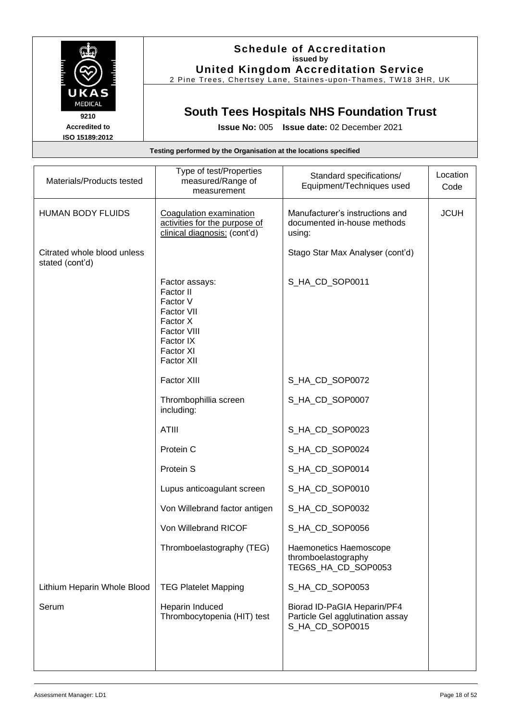

### **Schedule of Accreditation issued by United Kingdom Accreditation Service**

2 Pine Trees, Chertsey Lane, Staines -upon -Thames, TW18 3HR, UK

## **South Tees Hospitals NHS Foundation Trust**

**Issue No:** 005 **Issue date:** 02 December 2021

#### **Testing performed by the Organisation at the locations specified** Materials/Products tested Type of test/Properties measured/Range of measurement Standard specifications/ Equipment/Techniques used **Location** Code HUMAN BODY FLUIDS | Coagulation examination activities for the purpose of clinical diagnosis: (cont'd) Manufacturer's instructions and documented in-house methods using: JCUH Citrated whole blood unless stated (cont'd) Stago Star Max Analyser (cont'd) Factor assays: Factor II Factor V Factor VII Factor X Factor VIII Factor IX Factor XI Factor XII Factor XIII S\_HA\_CD\_SOP0011 S\_HA\_CD\_SOP0072 Thrombophillia screen including: S\_HA\_CD\_SOP0007 ATIII S\_HA\_CD\_SOP0023 Protein C S\_HA\_CD\_SOP0024 Protein S S\_HA\_CD\_SOP0014 Lupus anticoagulant screen | S\_HA\_CD\_SOP0010 Von Willebrand factor antigen | S\_HA\_CD\_SOP0032 Von Willebrand RICOF SAME SCROOMS Thromboelastography (TEG) | Haemonetics Haemoscope thromboelastography TEG6S\_HA\_CD\_SOP0053 Lithium Heparin Whole Blood TEG Platelet Mapping SAMIC SOP0053 Serum | Heparin Induced Thrombocytopenia (HIT) test Biorad ID-PaGIA Heparin/PF4 Particle Gel agglutination assay S\_HA\_CD\_SOP0015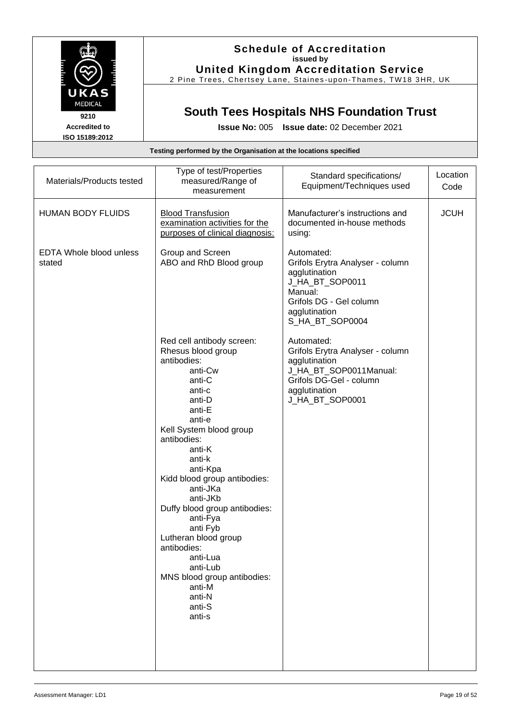

### **Schedule of Accreditation issued by United Kingdom Accreditation Service**

2 Pine Trees, Chertsey Lane, Staines -upon -Thames, TW18 3HR, UK

## **South Tees Hospitals NHS Foundation Trust**

| Testing performed by the Organisation at the locations specified |                                                                                                                                                                                                                                                                                                                                                                                                                                                              |                                                                                                                                                              |                  |
|------------------------------------------------------------------|--------------------------------------------------------------------------------------------------------------------------------------------------------------------------------------------------------------------------------------------------------------------------------------------------------------------------------------------------------------------------------------------------------------------------------------------------------------|--------------------------------------------------------------------------------------------------------------------------------------------------------------|------------------|
| Materials/Products tested                                        | Type of test/Properties<br>measured/Range of<br>measurement                                                                                                                                                                                                                                                                                                                                                                                                  | Standard specifications/<br>Equipment/Techniques used                                                                                                        | Location<br>Code |
| <b>HUMAN BODY FLUIDS</b>                                         | <b>Blood Transfusion</b><br>examination activities for the<br>purposes of clinical diagnosis:                                                                                                                                                                                                                                                                                                                                                                | Manufacturer's instructions and<br>documented in-house methods<br>using:                                                                                     | <b>JCUH</b>      |
| <b>EDTA Whole blood unless</b><br>stated                         | Group and Screen<br>ABO and RhD Blood group                                                                                                                                                                                                                                                                                                                                                                                                                  | Automated:<br>Grifols Erytra Analyser - column<br>agglutination<br>J_HA_BT_SOP0011<br>Manual:<br>Grifols DG - Gel column<br>agglutination<br>S_HA_BT_SOP0004 |                  |
|                                                                  | Red cell antibody screen:<br>Rhesus blood group<br>antibodies:<br>anti-Cw<br>anti-C<br>anti-c<br>anti-D<br>anti-E<br>anti-e<br>Kell System blood group<br>antibodies:<br>anti-K<br>anti-k<br>anti-Kpa<br>Kidd blood group antibodies:<br>anti-JKa<br>anti-JKb<br>Duffy blood group antibodies:<br>anti-Fya<br>anti Fyb<br>Lutheran blood group<br>antibodies:<br>anti-Lua<br>anti-Lub<br>MNS blood group antibodies:<br>anti-M<br>anti-N<br>anti-S<br>anti-s | Automated:<br>Grifols Erytra Analyser - column<br>agglutination<br>J_HA_BT_SOP0011Manual:<br>Grifols DG-Gel - column<br>agglutination<br>J_HA_BT_SOP0001     |                  |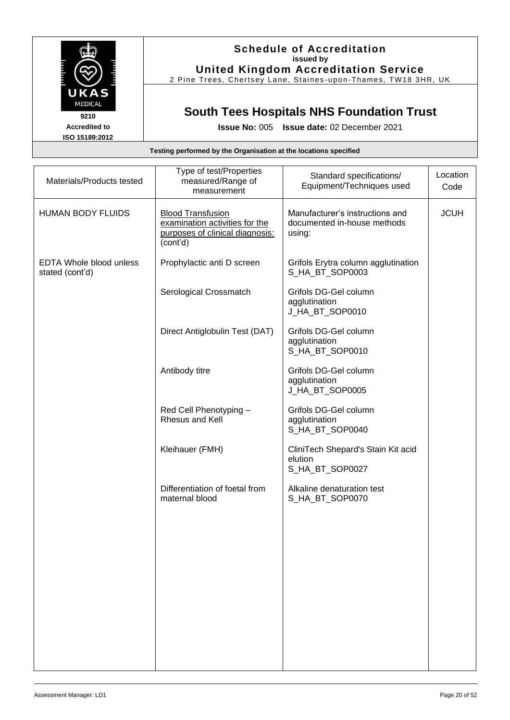

### **Schedule of Accreditation issued by United Kingdom Accreditation Service**

2 Pine Trees, Chertsey Lane, Staines-upon-Thames, TW18 3HR, UK

## **South Tees Hospitals NHS Foundation Trust**

**Issue No:** 005 **Issue date:** 02 December 2021

## **Testing performed by the Organisation at the locations specified** Materials/Products tested Type of test/Properties measured/Range of measurement Standard specifications/ Equipment/Techniques used **Location** Code HUMAN BODY FLUIDS | Blood Transfusion examination activities for the purposes of clinical diagnosis: (cont'd) Manufacturer's instructions and documented in-house methods using: **JCUH** EDTA Whole blood unless stated (cont'd) Prophylactic anti D screen | Grifols Erytra column agglutination S\_HA\_BT\_SOP0003 Serological Crossmatch | Grifols DG-Gel column agglutination J\_HA\_BT\_SOP0010 Direct Antiglobulin Test (DAT) | Grifols DG-Gel column agglutination S\_HA\_BT\_SOP0010 Antibody titre **Grifolds** Grifols DG-Gel column agglutination J\_HA\_BT\_SOP0005 Red Cell Phenotyping – Rhesus and Kell Grifols DG-Gel column agglutination S\_HA\_BT\_SOP0040 Kleihauer (FMH) CliniTech Shepard's Stain Kit acid elution S\_HA\_BT\_SOP0027 Differentiation of foetal from maternal blood Alkaline denaturation test S\_HA\_BT\_SOP0070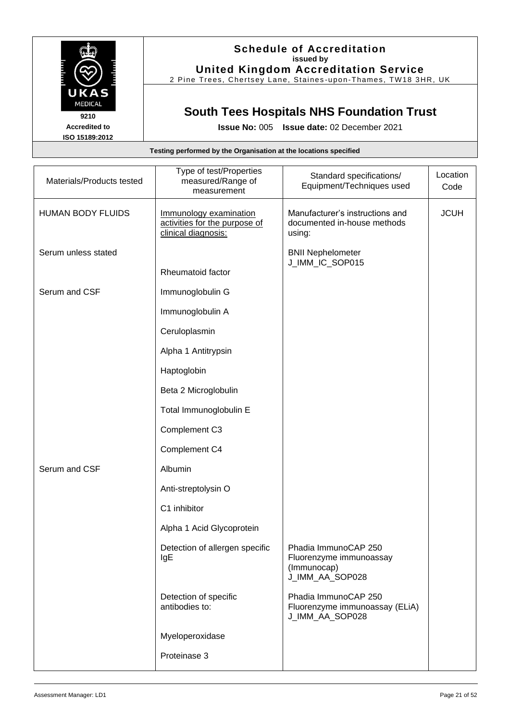

## **Schedule of Accreditation issued by United Kingdom Accreditation Service**

2 Pine Trees, Chertsey Lane, Staines -upon -Thames, TW18 3HR, UK

# **South Tees Hospitals NHS Foundation Trust**

| Testing performed by the Organisation at the locations specified |                                                                                |                                                                                   |                  |  |
|------------------------------------------------------------------|--------------------------------------------------------------------------------|-----------------------------------------------------------------------------------|------------------|--|
| Materials/Products tested                                        | Type of test/Properties<br>measured/Range of<br>measurement                    | Standard specifications/<br>Equipment/Techniques used                             | Location<br>Code |  |
| <b>HUMAN BODY FLUIDS</b>                                         | Immunology examination<br>activities for the purpose of<br>clinical diagnosis: | Manufacturer's instructions and<br>documented in-house methods<br>using:          | <b>JCUH</b>      |  |
| Serum unless stated                                              |                                                                                | <b>BNII Nephelometer</b><br>J_IMM_IC_SOP015                                       |                  |  |
|                                                                  | Rheumatoid factor                                                              |                                                                                   |                  |  |
| Serum and CSF                                                    | Immunoglobulin G                                                               |                                                                                   |                  |  |
|                                                                  | Immunoglobulin A                                                               |                                                                                   |                  |  |
|                                                                  | Ceruloplasmin                                                                  |                                                                                   |                  |  |
|                                                                  | Alpha 1 Antitrypsin                                                            |                                                                                   |                  |  |
|                                                                  | Haptoglobin                                                                    |                                                                                   |                  |  |
|                                                                  | Beta 2 Microglobulin                                                           |                                                                                   |                  |  |
|                                                                  | Total Immunoglobulin E                                                         |                                                                                   |                  |  |
|                                                                  | Complement C3                                                                  |                                                                                   |                  |  |
|                                                                  | Complement C4                                                                  |                                                                                   |                  |  |
| Serum and CSF                                                    | Albumin                                                                        |                                                                                   |                  |  |
|                                                                  | Anti-streptolysin O                                                            |                                                                                   |                  |  |
|                                                                  | C1 inhibitor                                                                   |                                                                                   |                  |  |
|                                                                  | Alpha 1 Acid Glycoprotein                                                      |                                                                                   |                  |  |
|                                                                  | Detection of allergen specific<br>IgE                                          | Phadia ImmunoCAP 250<br>Fluorenzyme immunoassay<br>(Immunocap)<br>J_IMM_AA_SOP028 |                  |  |
|                                                                  | Detection of specific<br>antibodies to:                                        | Phadia ImmunoCAP 250<br>Fluorenzyme immunoassay (ELiA)<br>J_IMM_AA_SOP028         |                  |  |
|                                                                  | Myeloperoxidase                                                                |                                                                                   |                  |  |
|                                                                  | Proteinase 3                                                                   |                                                                                   |                  |  |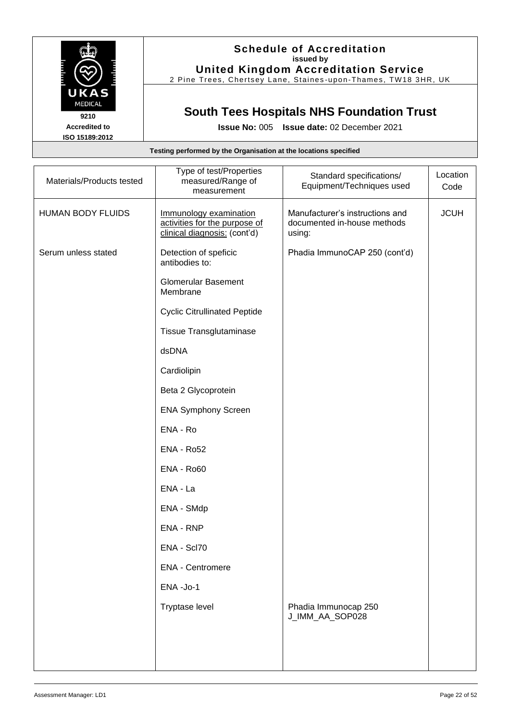

### **Schedule of Accreditation issued by United Kingdom Accreditation Service**

2 Pine Trees, Chertsey Lane, Staines -upon -Thames, TW18 3HR, UK

# **South Tees Hospitals NHS Foundation Trust**

| Testing performed by the Organisation at the locations specified |                                                                                         |                                                                          |                  |
|------------------------------------------------------------------|-----------------------------------------------------------------------------------------|--------------------------------------------------------------------------|------------------|
| Materials/Products tested                                        | Type of test/Properties<br>measured/Range of<br>measurement                             | Standard specifications/<br>Equipment/Techniques used                    | Location<br>Code |
| <b>HUMAN BODY FLUIDS</b>                                         | Immunology examination<br>activities for the purpose of<br>clinical diagnosis: (cont'd) | Manufacturer's instructions and<br>documented in-house methods<br>using: | <b>JCUH</b>      |
| Serum unless stated                                              | Detection of speficic<br>antibodies to:                                                 | Phadia ImmunoCAP 250 (cont'd)                                            |                  |
|                                                                  | <b>Glomerular Basement</b><br>Membrane                                                  |                                                                          |                  |
|                                                                  | <b>Cyclic Citrullinated Peptide</b>                                                     |                                                                          |                  |
|                                                                  | <b>Tissue Transglutaminase</b>                                                          |                                                                          |                  |
|                                                                  | dsDNA                                                                                   |                                                                          |                  |
|                                                                  | Cardiolipin                                                                             |                                                                          |                  |
|                                                                  | Beta 2 Glycoprotein                                                                     |                                                                          |                  |
|                                                                  | <b>ENA Symphony Screen</b>                                                              |                                                                          |                  |
|                                                                  | ENA - Ro                                                                                |                                                                          |                  |
|                                                                  | <b>ENA - Ro52</b>                                                                       |                                                                          |                  |
|                                                                  | <b>ENA - Ro60</b>                                                                       |                                                                          |                  |
|                                                                  | ENA - La                                                                                |                                                                          |                  |
|                                                                  | ENA - SMdp                                                                              |                                                                          |                  |
|                                                                  | <b>ENA - RNP</b>                                                                        |                                                                          |                  |
|                                                                  | ENA - Scl70                                                                             |                                                                          |                  |
|                                                                  | <b>ENA - Centromere</b>                                                                 |                                                                          |                  |
|                                                                  | ENA-Jo-1                                                                                |                                                                          |                  |
|                                                                  | Tryptase level                                                                          | Phadia Immunocap 250<br>J_IMM_AA_SOP028                                  |                  |
|                                                                  |                                                                                         |                                                                          |                  |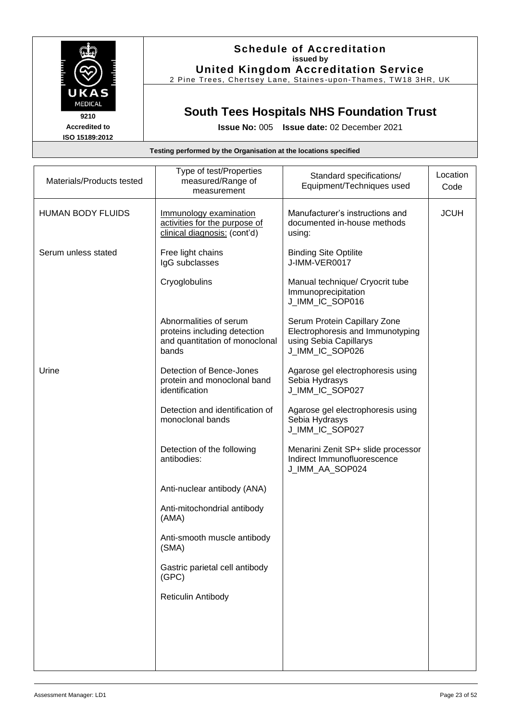

## **Schedule of Accreditation issued by United Kingdom Accreditation Service**

2 Pine Trees, Chertsey Lane, Staines -upon -Thames, TW18 3HR, UK

# **South Tees Hospitals NHS Foundation Trust**

|  | Testing performed by the Organisation at the locations specified |  |
|--|------------------------------------------------------------------|--|
|  |                                                                  |  |

| Materials/Products tested | Type of test/Properties<br>measured/Range of<br>measurement                                       | Standard specifications/<br>Equipment/Techniques used                                                         | Location<br>Code |
|---------------------------|---------------------------------------------------------------------------------------------------|---------------------------------------------------------------------------------------------------------------|------------------|
| <b>HUMAN BODY FLUIDS</b>  | Immunology examination<br>activities for the purpose of<br>clinical diagnosis: (cont'd)           | Manufacturer's instructions and<br>documented in-house methods<br>using:                                      | <b>JCUH</b>      |
| Serum unless stated       | Free light chains<br>IgG subclasses                                                               | <b>Binding Site Optilite</b><br>J-IMM-VER0017                                                                 |                  |
|                           | Cryoglobulins                                                                                     | Manual technique/ Cryocrit tube<br>Immunoprecipitation<br>J_IMM_IC_SOP016                                     |                  |
|                           | Abnormalities of serum<br>proteins including detection<br>and quantitation of monoclonal<br>bands | Serum Protein Capillary Zone<br>Electrophoresis and Immunotyping<br>using Sebia Capillarys<br>J_IMM_IC_SOP026 |                  |
| Urine                     | Detection of Bence-Jones<br>protein and monoclonal band<br>identification                         | Agarose gel electrophoresis using<br>Sebia Hydrasys<br>J_IMM_IC_SOP027                                        |                  |
|                           | Detection and identification of<br>monoclonal bands                                               | Agarose gel electrophoresis using<br>Sebia Hydrasys<br>J_IMM_IC_SOP027                                        |                  |
|                           | Detection of the following<br>antibodies:                                                         | Menarini Zenit SP+ slide processor<br>Indirect Immunofluorescence<br>J_IMM_AA_SOP024                          |                  |
|                           | Anti-nuclear antibody (ANA)                                                                       |                                                                                                               |                  |
|                           | Anti-mitochondrial antibody<br>(AMA)                                                              |                                                                                                               |                  |
|                           | Anti-smooth muscle antibody<br>(SMA)                                                              |                                                                                                               |                  |
|                           | Gastric parietal cell antibody<br>(GPC)                                                           |                                                                                                               |                  |
|                           | Reticulin Antibody                                                                                |                                                                                                               |                  |
|                           |                                                                                                   |                                                                                                               |                  |
|                           |                                                                                                   |                                                                                                               |                  |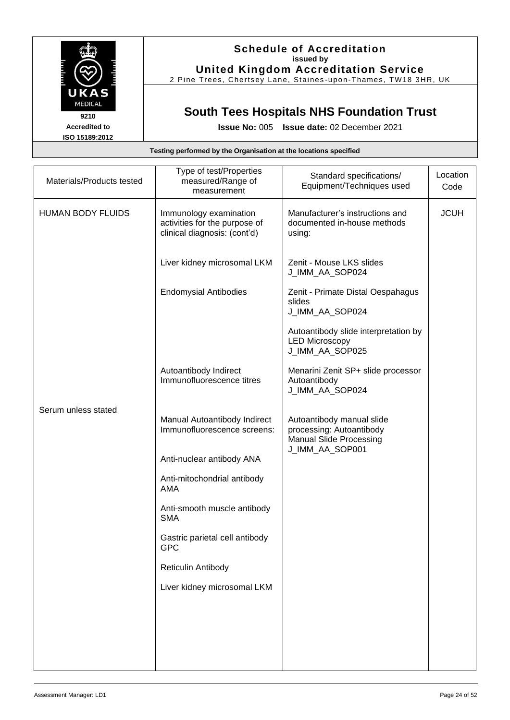

**ISO 15189:2012**

## **Schedule of Accreditation issued by United Kingdom Accreditation Service**

2 Pine Trees, Chertsey Lane, Staines -upon -Thames, TW18 3HR, UK

# **South Tees Hospitals NHS Foundation Trust**

**Issue No:** 005 **Issue date:** 02 December 2021

| Materials/Products tested | Type of test/Properties<br>measured/Range of<br>measurement                             | Standard specifications/<br>Equipment/Techniques used                                                      | Location<br>Code |
|---------------------------|-----------------------------------------------------------------------------------------|------------------------------------------------------------------------------------------------------------|------------------|
| <b>HUMAN BODY FLUIDS</b>  | Immunology examination<br>activities for the purpose of<br>clinical diagnosis: (cont'd) | Manufacturer's instructions and<br>documented in-house methods<br>using:                                   | <b>JCUH</b>      |
|                           | Liver kidney microsomal LKM                                                             | Zenit - Mouse LKS slides<br>J_IMM_AA_SOP024                                                                |                  |
|                           | <b>Endomysial Antibodies</b>                                                            | Zenit - Primate Distal Oespahagus<br>slides<br>J_IMM_AA_SOP024                                             |                  |
|                           |                                                                                         | Autoantibody slide interpretation by<br><b>LED Microscopy</b><br>J_IMM_AA_SOP025                           |                  |
|                           | Autoantibody Indirect<br>Immunofluorescence titres                                      | Menarini Zenit SP+ slide processor<br>Autoantibody<br>J_IMM_AA_SOP024                                      |                  |
| Serum unless stated       | Manual Autoantibody Indirect<br>Immunofluorescence screens:                             | Autoantibody manual slide<br>processing: Autoantibody<br><b>Manual Slide Processing</b><br>J_IMM_AA_SOP001 |                  |
|                           | Anti-nuclear antibody ANA                                                               |                                                                                                            |                  |
|                           | Anti-mitochondrial antibody<br><b>AMA</b>                                               |                                                                                                            |                  |
|                           | Anti-smooth muscle antibody<br><b>SMA</b>                                               |                                                                                                            |                  |
|                           | Gastric parietal cell antibody<br><b>GPC</b>                                            |                                                                                                            |                  |
|                           | Reticulin Antibody                                                                      |                                                                                                            |                  |
|                           | Liver kidney microsomal LKM                                                             |                                                                                                            |                  |
|                           |                                                                                         |                                                                                                            |                  |
|                           |                                                                                         |                                                                                                            |                  |
|                           |                                                                                         |                                                                                                            |                  |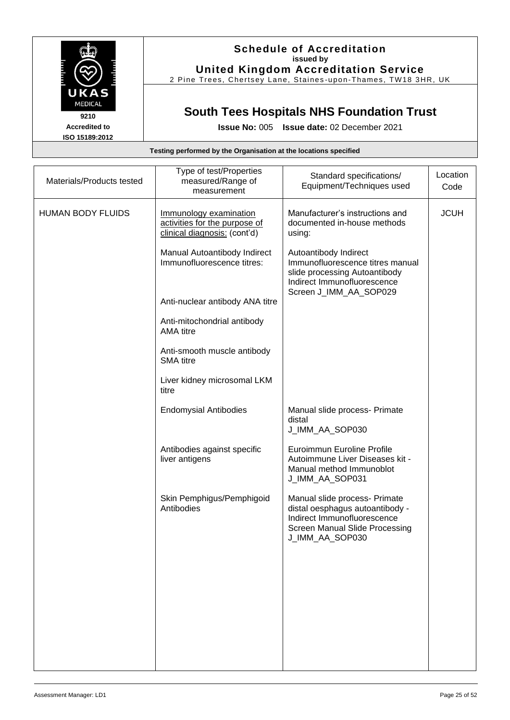

### **Schedule of Accreditation issued by United Kingdom Accreditation Service**

2 Pine Trees, Chertsey Lane, Staines -upon -Thames, TW18 3HR, UK

# **South Tees Hospitals NHS Foundation Trust**

**Issue No:** 005 **Issue date:** 02 December 2021

| Materials/Products tested | Type of test/Properties<br>measured/Range of<br>measurement                             | Standard specifications/<br>Equipment/Techniques used                                                                                                       | Location<br>Code |
|---------------------------|-----------------------------------------------------------------------------------------|-------------------------------------------------------------------------------------------------------------------------------------------------------------|------------------|
| <b>HUMAN BODY FLUIDS</b>  | Immunology examination<br>activities for the purpose of<br>clinical diagnosis: (cont'd) | Manufacturer's instructions and<br>documented in-house methods<br>using:                                                                                    | <b>JCUH</b>      |
|                           | Manual Autoantibody Indirect<br>Immunofluorescence titres:                              | Autoantibody Indirect<br>Immunofluorescence titres manual<br>slide processing Autoantibody<br>Indirect Immunofluorescence                                   |                  |
|                           | Anti-nuclear antibody ANA titre                                                         | Screen J_IMM_AA_SOP029                                                                                                                                      |                  |
|                           | Anti-mitochondrial antibody<br><b>AMA</b> titre                                         |                                                                                                                                                             |                  |
|                           | Anti-smooth muscle antibody<br><b>SMA</b> titre                                         |                                                                                                                                                             |                  |
|                           | Liver kidney microsomal LKM<br>titre                                                    |                                                                                                                                                             |                  |
|                           | <b>Endomysial Antibodies</b>                                                            | Manual slide process- Primate<br>distal<br>J_IMM_AA_SOP030                                                                                                  |                  |
|                           | Antibodies against specific<br>liver antigens                                           | Euroimmun Euroline Profile<br>Autoimmune Liver Diseases kit -<br>Manual method Immunoblot<br>J_IMM_AA_SOP031                                                |                  |
|                           | Skin Pemphigus/Pemphigoid<br>Antibodies                                                 | Manual slide process- Primate<br>distal oesphagus autoantibody -<br>Indirect Immunofluorescence<br><b>Screen Manual Slide Processing</b><br>J_IMM_AA_SOP030 |                  |
|                           |                                                                                         |                                                                                                                                                             |                  |
|                           |                                                                                         |                                                                                                                                                             |                  |
|                           |                                                                                         |                                                                                                                                                             |                  |
|                           |                                                                                         |                                                                                                                                                             |                  |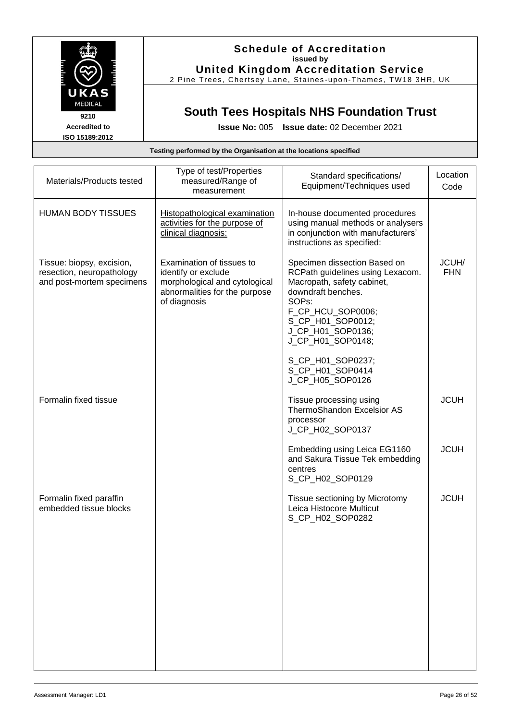

### **Schedule of Accreditation issued by United Kingdom Accreditation Service**

2 Pine Trees, Chertsey Lane, Staines -upon -Thames, TW18 3HR, UK

# **South Tees Hospitals NHS Foundation Trust**

| Testing performed by the Organisation at the locations specified                    |                                                                                                                                    |                                                                                                                                                                                                                                                                                             |                     |
|-------------------------------------------------------------------------------------|------------------------------------------------------------------------------------------------------------------------------------|---------------------------------------------------------------------------------------------------------------------------------------------------------------------------------------------------------------------------------------------------------------------------------------------|---------------------|
| Materials/Products tested                                                           | Type of test/Properties<br>measured/Range of<br>measurement                                                                        | Standard specifications/<br>Equipment/Techniques used                                                                                                                                                                                                                                       | Location<br>Code    |
| <b>HUMAN BODY TISSUES</b>                                                           | Histopathological examination<br>activities for the purpose of<br>clinical diagnosis:                                              | In-house documented procedures<br>using manual methods or analysers<br>in conjunction with manufacturers'<br>instructions as specified:                                                                                                                                                     |                     |
| Tissue: biopsy, excision,<br>resection, neuropathology<br>and post-mortem specimens | Examination of tissues to<br>identify or exclude<br>morphological and cytological<br>abnormalities for the purpose<br>of diagnosis | Specimen dissection Based on<br>RCPath guidelines using Lexacom.<br>Macropath, safety cabinet,<br>downdraft benches.<br>SOP <sub>s</sub> :<br>F_CP_HCU_SOP0006;<br>S_CP_H01_SOP0012;<br>J_CP_H01_SOP0136;<br>J_CP_H01_SOP0148;<br>S_CP_H01_SOP0237;<br>S CP H01 SOP0414<br>J_CP_H05_SOP0126 | JCUH/<br><b>FHN</b> |
| Formalin fixed tissue                                                               |                                                                                                                                    | Tissue processing using<br><b>ThermoShandon Excelsior AS</b><br>processor<br>J_CP_H02_SOP0137                                                                                                                                                                                               | <b>JCUH</b>         |
|                                                                                     |                                                                                                                                    | Embedding using Leica EG1160<br>and Sakura Tissue Tek embedding<br>centres<br>S_CP_H02_SOP0129                                                                                                                                                                                              | <b>JCUH</b>         |
| Formalin fixed paraffin<br>embedded tissue blocks                                   |                                                                                                                                    | Tissue sectioning by Microtomy<br>Leica Histocore Multicut<br>S_CP_H02_SOP0282                                                                                                                                                                                                              | <b>JCUH</b>         |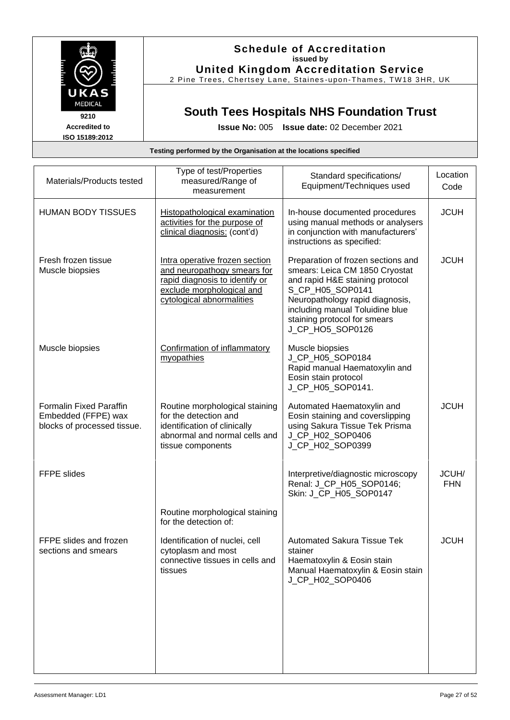

### **Schedule of Accreditation issued by United Kingdom Accreditation Service**

2 Pine Trees, Chertsey Lane, Staines-upon-Thames, TW18 3HR, UK

# **South Tees Hospitals NHS Foundation Trust**

| Testing performed by the Organisation at the locations specified                     |                                                                                                                                                           |                                                                                                                                                                                                                                                       |                     |
|--------------------------------------------------------------------------------------|-----------------------------------------------------------------------------------------------------------------------------------------------------------|-------------------------------------------------------------------------------------------------------------------------------------------------------------------------------------------------------------------------------------------------------|---------------------|
| Materials/Products tested                                                            | Type of test/Properties<br>measured/Range of<br>measurement                                                                                               | Standard specifications/<br>Equipment/Techniques used                                                                                                                                                                                                 | Location<br>Code    |
| <b>HUMAN BODY TISSUES</b>                                                            | <b>Histopathological examination</b><br>activities for the purpose of<br>clinical diagnosis: (cont'd)                                                     | In-house documented procedures<br>using manual methods or analysers<br>in conjunction with manufacturers'<br>instructions as specified:                                                                                                               | <b>JCUH</b>         |
| Fresh frozen tissue<br>Muscle biopsies                                               | Intra operative frozen section<br>and neuropathogy smears for<br>rapid diagnosis to identify or<br>exclude morphological and<br>cytological abnormalities | Preparation of frozen sections and<br>smears: Leica CM 1850 Cryostat<br>and rapid H&E staining protocol<br>S_CP_H05_SOP0141<br>Neuropathology rapid diagnosis,<br>including manual Toluidine blue<br>staining protocol for smears<br>J CP HO5 SOP0126 | <b>JCUH</b>         |
| Muscle biopsies                                                                      | Confirmation of inflammatory<br>myopathies                                                                                                                | Muscle biopsies<br>J_CP_H05_SOP0184<br>Rapid manual Haematoxylin and<br>Eosin stain protocol<br>J_CP_H05_SOP0141.                                                                                                                                     |                     |
| <b>Formalin Fixed Paraffin</b><br>Embedded (FFPE) wax<br>blocks of processed tissue. | Routine morphological staining<br>for the detection and<br>identification of clinically<br>abnormal and normal cells and<br>tissue components             | Automated Haematoxylin and<br>Eosin staining and coverslipping<br>using Sakura Tissue Tek Prisma<br>J_CP_H02_SOP0406<br>J_CP_H02_SOP0399                                                                                                              | <b>JCUH</b>         |
| <b>FFPE slides</b>                                                                   |                                                                                                                                                           | Interpretive/diagnostic microscopy<br>Renal: J_CP_H05_SOP0146;<br>Skin: J_CP_H05_SOP0147                                                                                                                                                              | JCUH/<br><b>FHN</b> |
|                                                                                      | Routine morphological staining<br>for the detection of:                                                                                                   |                                                                                                                                                                                                                                                       |                     |
| FFPE slides and frozen<br>sections and smears                                        | Identification of nuclei, cell<br>cytoplasm and most<br>connective tissues in cells and<br>tissues                                                        | <b>Automated Sakura Tissue Tek</b><br>stainer<br>Haematoxylin & Eosin stain<br>Manual Haematoxylin & Eosin stain<br>J_CP_H02_SOP0406                                                                                                                  | <b>JCUH</b>         |
|                                                                                      |                                                                                                                                                           |                                                                                                                                                                                                                                                       |                     |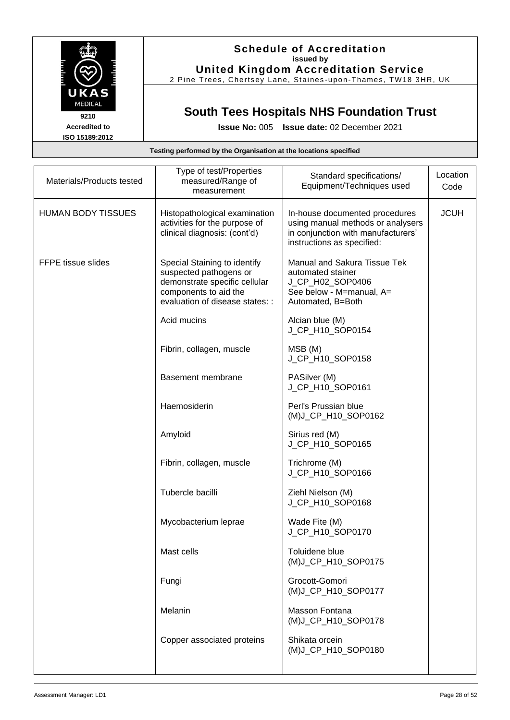

### **Schedule of Accreditation issued by United Kingdom Accreditation Service**

2 Pine Trees, Chertsey Lane, Staines -upon -Thames, TW18 3HR, UK

## **South Tees Hospitals NHS Foundation Trust**

|                           | Testing performed by the Organisation at the locations specified                                                                                    |                                                                                                                                         |                  |
|---------------------------|-----------------------------------------------------------------------------------------------------------------------------------------------------|-----------------------------------------------------------------------------------------------------------------------------------------|------------------|
| Materials/Products tested | Type of test/Properties<br>measured/Range of<br>measurement                                                                                         | Standard specifications/<br>Equipment/Techniques used                                                                                   | Location<br>Code |
| <b>HUMAN BODY TISSUES</b> | Histopathological examination<br>activities for the purpose of<br>clinical diagnosis: (cont'd)                                                      | In-house documented procedures<br>using manual methods or analysers<br>in conjunction with manufacturers'<br>instructions as specified: | <b>JCUH</b>      |
| <b>FFPE tissue slides</b> | Special Staining to identify<br>suspected pathogens or<br>demonstrate specific cellular<br>components to aid the<br>evaluation of disease states: : | <b>Manual and Sakura Tissue Tek</b><br>automated stainer<br>J_CP_H02_SOP0406<br>See below - M=manual, A=<br>Automated, B=Both           |                  |
|                           | Acid mucins                                                                                                                                         | Alcian blue (M)<br>J_CP_H10_SOP0154                                                                                                     |                  |
|                           | Fibrin, collagen, muscle                                                                                                                            | MSB (M)<br>J_CP_H10_SOP0158                                                                                                             |                  |
|                           | <b>Basement membrane</b>                                                                                                                            | PASilver (M)<br>J_CP_H10_SOP0161                                                                                                        |                  |
|                           | Haemosiderin                                                                                                                                        | Perl's Prussian blue<br>(M)J_CP_H10_SOP0162                                                                                             |                  |
|                           | Amyloid                                                                                                                                             | Sirius red (M)<br>J_CP_H10_SOP0165                                                                                                      |                  |
|                           | Fibrin, collagen, muscle                                                                                                                            | Trichrome (M)<br>J_CP_H10_SOP0166                                                                                                       |                  |
|                           | Tubercle bacilli                                                                                                                                    | Ziehl Nielson (M)<br>J_CP_H10_SOP0168                                                                                                   |                  |
|                           | Mycobacterium leprae                                                                                                                                | Wade Fite (M)<br>J_CP_H10_SOP0170                                                                                                       |                  |
|                           | Mast cells                                                                                                                                          | Toluidene blue<br>(M)J_CP_H10_SOP0175                                                                                                   |                  |
|                           | Fungi                                                                                                                                               | Grocott-Gomori<br>(M)J_CP_H10_SOP0177                                                                                                   |                  |
|                           | Melanin                                                                                                                                             | Masson Fontana<br>(M)J_CP_H10_SOP0178                                                                                                   |                  |
|                           | Copper associated proteins                                                                                                                          | Shikata orcein<br>(M)J_CP_H10_SOP0180                                                                                                   |                  |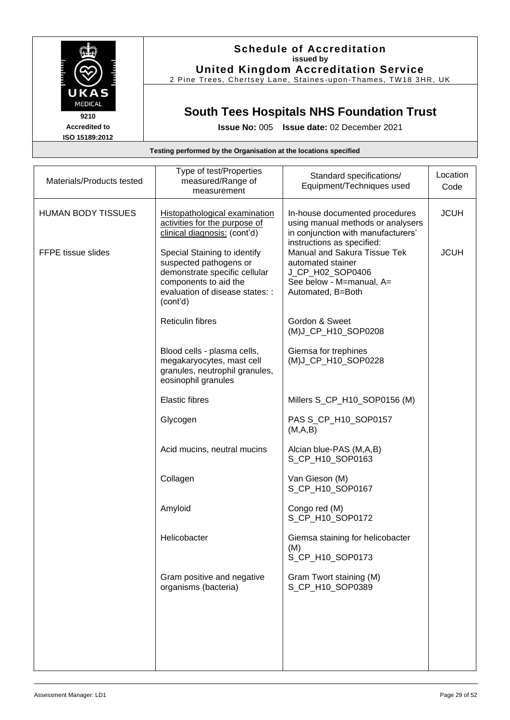

### **Schedule of Accreditation issued by United Kingdom Accreditation Service**

2 Pine Trees, Chertsey Lane, Staines -upon -Thames, TW18 3HR, UK

## **South Tees Hospitals NHS Foundation Trust**

**Issue No:** 005 **Issue date:** 02 December 2021

| Materials/Products tested | Type of test/Properties<br>measured/Range of<br>measurement                                                                                                     | Standard specifications/<br>Equipment/Techniques used                                                                                                | Location<br>Code |
|---------------------------|-----------------------------------------------------------------------------------------------------------------------------------------------------------------|------------------------------------------------------------------------------------------------------------------------------------------------------|------------------|
| <b>HUMAN BODY TISSUES</b> | <b>Histopathological examination</b><br>activities for the purpose of<br>clinical diagnosis: (cont'd)                                                           | In-house documented procedures<br>using manual methods or analysers<br>in conjunction with manufacturers'                                            | <b>JCUH</b>      |
| FFPE tissue slides        | Special Staining to identify<br>suspected pathogens or<br>demonstrate specific cellular<br>components to aid the<br>evaluation of disease states: :<br>(cont'd) | instructions as specified:<br>Manual and Sakura Tissue Tek<br>automated stainer<br>J_CP_H02_SOP0406<br>See below - M=manual, A=<br>Automated, B=Both | <b>JCUH</b>      |
|                           | <b>Reticulin fibres</b>                                                                                                                                         | Gordon & Sweet<br>(M)J_CP_H10_SOP0208                                                                                                                |                  |
|                           | Blood cells - plasma cells,<br>megakaryocytes, mast cell<br>granules, neutrophil granules,<br>eosinophil granules                                               | Giemsa for trephines<br>(M)J_CP_H10_SOP0228                                                                                                          |                  |
|                           | <b>Elastic fibres</b>                                                                                                                                           | Millers S_CP_H10_SOP0156 (M)                                                                                                                         |                  |
|                           | Glycogen                                                                                                                                                        | PAS S_CP_H10_SOP0157<br>(M,A,B)                                                                                                                      |                  |
|                           | Acid mucins, neutral mucins                                                                                                                                     | Alcian blue-PAS (M,A,B)<br>S_CP_H10_SOP0163                                                                                                          |                  |
|                           | Collagen                                                                                                                                                        | Van Gieson (M)<br>S_CP_H10_SOP0167                                                                                                                   |                  |
|                           | Amyloid                                                                                                                                                         | Congo red (M)<br>S_CP_H10_SOP0172                                                                                                                    |                  |
|                           | Helicobacter                                                                                                                                                    | Giemsa staining for helicobacter<br>(M)<br>S_CP_H10_SOP0173                                                                                          |                  |
|                           | Gram positive and negative<br>organisms (bacteria)                                                                                                              | Gram Twort staining (M)<br>S_CP_H10_SOP0389                                                                                                          |                  |
|                           |                                                                                                                                                                 |                                                                                                                                                      |                  |
|                           |                                                                                                                                                                 |                                                                                                                                                      |                  |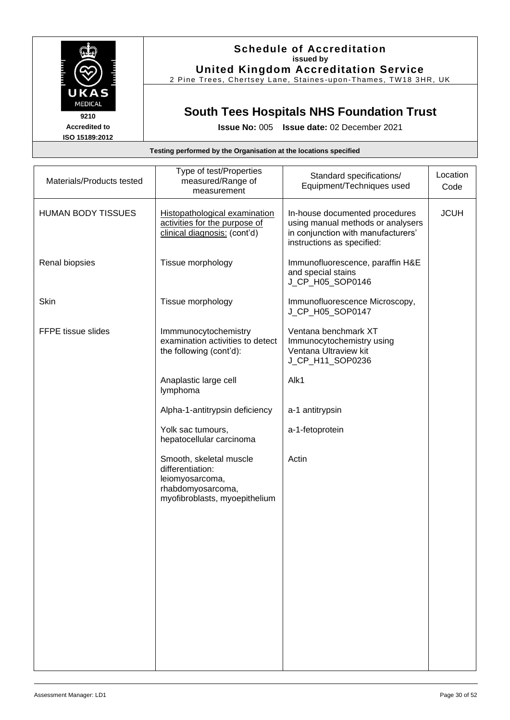

### **Schedule of Accreditation issued by United Kingdom Accreditation Service**

2 Pine Trees, Chertsey Lane, Staines -upon -Thames, TW18 3HR, UK

# **South Tees Hospitals NHS Foundation Trust**

**Issue No:** 005 **Issue date:** 02 December 2021

| Materials/Products tested | Type of test/Properties<br>measured/Range of<br>measurement                                                          | Standard specifications/<br>Equipment/Techniques used                                                                                   | Location<br>Code |
|---------------------------|----------------------------------------------------------------------------------------------------------------------|-----------------------------------------------------------------------------------------------------------------------------------------|------------------|
| <b>HUMAN BODY TISSUES</b> | Histopathological examination<br>activities for the purpose of<br>clinical diagnosis: (cont'd)                       | In-house documented procedures<br>using manual methods or analysers<br>in conjunction with manufacturers'<br>instructions as specified: | <b>JCUH</b>      |
| Renal biopsies            | Tissue morphology                                                                                                    | Immunofluorescence, paraffin H&E<br>and special stains<br>J_CP_H05_SOP0146                                                              |                  |
| Skin                      | Tissue morphology                                                                                                    | Immunofluorescence Microscopy,<br>J_CP_H05_SOP0147                                                                                      |                  |
| FFPE tissue slides        | Immmunocytochemistry<br>examination activities to detect<br>the following (cont'd):                                  | Ventana benchmark XT<br>Immunocytochemistry using<br>Ventana Ultraview kit<br>J_CP_H11_SOP0236                                          |                  |
|                           | Anaplastic large cell<br>lymphoma                                                                                    | Alk1                                                                                                                                    |                  |
|                           | Alpha-1-antitrypsin deficiency                                                                                       | a-1 antitrypsin                                                                                                                         |                  |
|                           | Yolk sac tumours,<br>hepatocellular carcinoma                                                                        | a-1-fetoprotein                                                                                                                         |                  |
|                           | Smooth, skeletal muscle<br>differentiation:<br>leiomyosarcoma,<br>rhabdomyosarcoma,<br>myofibroblasts, myoepithelium | Actin                                                                                                                                   |                  |
|                           |                                                                                                                      |                                                                                                                                         |                  |
|                           |                                                                                                                      |                                                                                                                                         |                  |
|                           |                                                                                                                      |                                                                                                                                         |                  |
|                           |                                                                                                                      |                                                                                                                                         |                  |
|                           |                                                                                                                      |                                                                                                                                         |                  |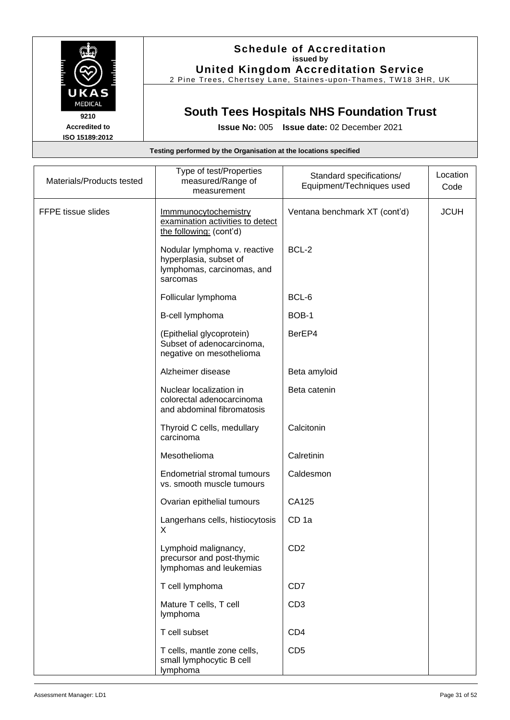

### **Schedule of Accreditation issued by United Kingdom Accreditation Service**

2 Pine Trees, Chertsey Lane, Staines -upon -Thames, TW18 3HR, UK

# **South Tees Hospitals NHS Foundation Trust**

**Issue No:** 005 **Issue date:** 02 December 2021

| Materials/Products tested | Type of test/Properties<br>measured/Range of<br>measurement                                      | Standard specifications/<br>Equipment/Techniques used | Location<br>Code |
|---------------------------|--------------------------------------------------------------------------------------------------|-------------------------------------------------------|------------------|
| FFPE tissue slides        | <b>Immmunocytochemistry</b><br>examination activities to detect<br>the following: (cont'd)       | Ventana benchmark XT (cont'd)                         | <b>JCUH</b>      |
|                           | Nodular lymphoma v. reactive<br>hyperplasia, subset of<br>lymphomas, carcinomas, and<br>sarcomas | BCL-2                                                 |                  |
|                           | Follicular lymphoma                                                                              | BCL-6                                                 |                  |
|                           | B-cell lymphoma                                                                                  | BOB-1                                                 |                  |
|                           | (Epithelial glycoprotein)<br>Subset of adenocarcinoma,<br>negative on mesothelioma               | BerEP4                                                |                  |
|                           | Alzheimer disease                                                                                | Beta amyloid                                          |                  |
|                           | Nuclear localization in<br>colorectal adenocarcinoma<br>and abdominal fibromatosis               | Beta catenin                                          |                  |
|                           | Thyroid C cells, medullary<br>carcinoma                                                          | Calcitonin                                            |                  |
|                           | Mesothelioma                                                                                     | Calretinin                                            |                  |
|                           | <b>Endometrial stromal tumours</b><br>vs. smooth muscle tumours                                  | Caldesmon                                             |                  |
|                           | Ovarian epithelial tumours                                                                       | CA125                                                 |                  |
|                           | Langerhans cells, histiocytosis<br>X                                                             | CD <sub>1a</sub>                                      |                  |
|                           | Lymphoid malignancy,<br>precursor and post-thymic<br>lymphomas and leukemias                     | CD <sub>2</sub>                                       |                  |
|                           | T cell lymphoma                                                                                  | CD7                                                   |                  |
|                           | Mature T cells, T cell<br>lymphoma                                                               | CD <sub>3</sub>                                       |                  |
|                           | T cell subset                                                                                    | CD <sub>4</sub>                                       |                  |
|                           | T cells, mantle zone cells,<br>small lymphocytic B cell<br>lymphoma                              | CD <sub>5</sub>                                       |                  |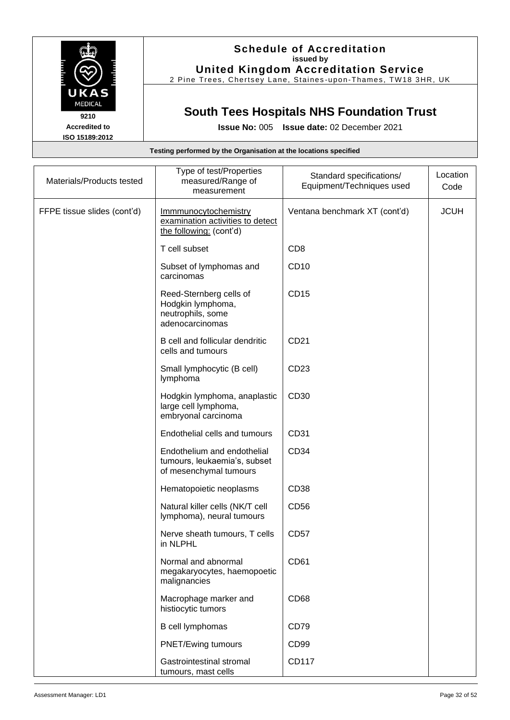

## **Schedule of Accreditation issued by United Kingdom Accreditation Service**

2 Pine Trees, Chertsey Lane, Staines -upon -Thames, TW18 3HR, UK

# **South Tees Hospitals NHS Foundation Trust**

**Issue No:** 005 **Issue date:** 02 December 2021

|                             | Testing performed by the Organisation at the locations specified                      |                                                       |                  |
|-----------------------------|---------------------------------------------------------------------------------------|-------------------------------------------------------|------------------|
| Materials/Products tested   | Type of test/Properties<br>measured/Range of<br>measurement                           | Standard specifications/<br>Equipment/Techniques used | Location<br>Code |
| FFPE tissue slides (cont'd) | Immmunocytochemistry<br>examination activities to detect<br>the following: (cont'd)   | Ventana benchmark XT (cont'd)                         | <b>JCUH</b>      |
|                             | T cell subset                                                                         | CD <sub>8</sub>                                       |                  |
|                             | Subset of lymphomas and<br>carcinomas                                                 | CD10                                                  |                  |
|                             | Reed-Sternberg cells of<br>Hodgkin lymphoma,<br>neutrophils, some<br>adenocarcinomas  | CD15                                                  |                  |
|                             | B cell and follicular dendritic<br>cells and tumours                                  | CD21                                                  |                  |
|                             | Small lymphocytic (B cell)<br>lymphoma                                                | CD23                                                  |                  |
|                             | Hodgkin lymphoma, anaplastic<br>large cell lymphoma,<br>embryonal carcinoma           | CD30                                                  |                  |
|                             | Endothelial cells and tumours                                                         | CD31                                                  |                  |
|                             | Endothelium and endothelial<br>tumours, leukaemia's, subset<br>of mesenchymal tumours | CD34                                                  |                  |
|                             | Hematopoietic neoplasms                                                               | CD <sub>38</sub>                                      |                  |
|                             | Natural killer cells (NK/T cell<br>lymphoma), neural tumours                          | CD56                                                  |                  |
|                             | Nerve sheath tumours, T cells<br>in NLPHL                                             | CD <sub>57</sub>                                      |                  |
|                             | Normal and abnormal<br>megakaryocytes, haemopoetic<br>malignancies                    | CD61                                                  |                  |
|                             | Macrophage marker and<br>histiocytic tumors                                           | CD68                                                  |                  |
|                             | B cell lymphomas                                                                      | CD79                                                  |                  |
|                             | PNET/Ewing tumours                                                                    | CD <sub>99</sub>                                      |                  |
|                             | Gastrointestinal stromal                                                              | CD117                                                 |                  |

tumours, mast cells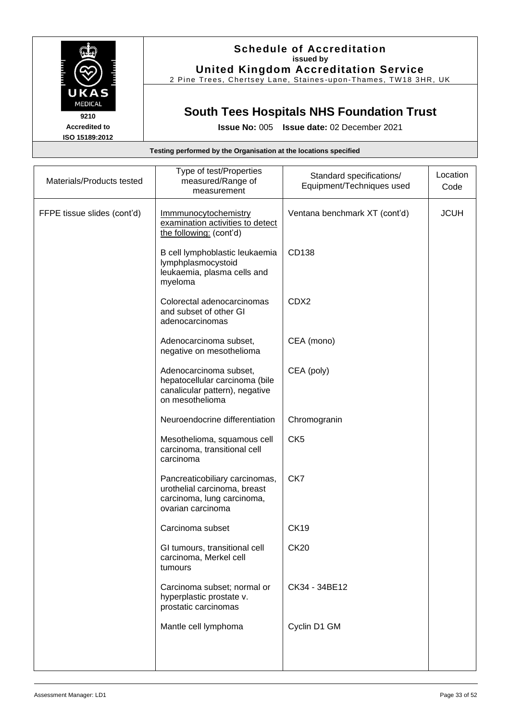

### **Schedule of Accreditation issued by United Kingdom Accreditation Service**

2 Pine Trees, Chertsey Lane, Staines-upon-Thames, TW18 3HR, UK

## **South Tees Hospitals NHS Foundation Trust**

**Issue No:** 005 **Issue date:** 02 December 2021

#### **Testing performed by the Organisation at the locations specified** Materials/Products tested Type of test/Properties measured/Range of measurement Standard specifications/ Equipment/Techniques used **Location** Code FFPE tissue slides (cont'd) | Immmunocytochemistry examination activities to detect the following: (cont'd) Ventana benchmark XT (cont'd) JCUH B cell lymphoblastic leukaemia lymphplasmocystoid leukaemia, plasma cells and myeloma CD138 Colorectal adenocarcinomas and subset of other GI adenocarcinomas CDX2 Adenocarcinoma subset, negative on mesothelioma CEA (mono) Adenocarcinoma subset, hepatocellular carcinoma (bile canalicular pattern), negative on mesothelioma CEA (poly) Neuroendocrine differentiation | Chromogranin Mesothelioma, squamous cell carcinoma, transitional cell carcinoma CK5 Pancreaticobiliary carcinomas, urothelial carcinoma, breast carcinoma, lung carcinoma, ovarian carcinoma CK7 Carcinoma subset CK19 GI tumours, transitional cell carcinoma, Merkel cell tumours CK20 Carcinoma subset; normal or hyperplastic prostate v. prostatic carcinomas CK34 - 34BE12 Mantle cell lymphoma | Cyclin D1 GM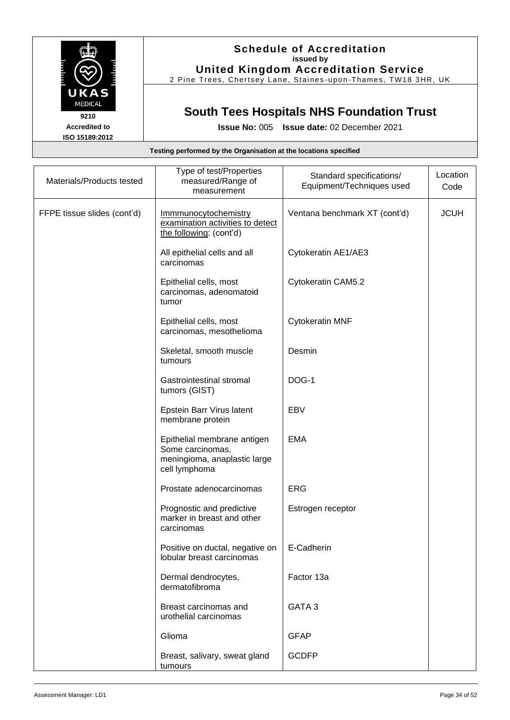

## **Schedule of Accreditation issued by United Kingdom Accreditation Service**

2 Pine Trees, Chertsey Lane, Staines-upon-Thames, TW18 3HR, UK

## **South Tees Hospitals NHS Foundation Trust**

|                             | Testing performed by the Organisation at the locations specified                                 |                                                       |                  |
|-----------------------------|--------------------------------------------------------------------------------------------------|-------------------------------------------------------|------------------|
| Materials/Products tested   | Type of test/Properties<br>measured/Range of<br>measurement                                      | Standard specifications/<br>Equipment/Techniques used | Location<br>Code |
| FFPE tissue slides (cont'd) | Immmunocytochemistry<br>examination activities to detect<br>the following: (cont'd)              | Ventana benchmark XT (cont'd)                         | <b>JCUH</b>      |
|                             | All epithelial cells and all<br>carcinomas                                                       | Cytokeratin AE1/AE3                                   |                  |
|                             | Epithelial cells, most<br>carcinomas, adenomatoid<br>tumor                                       | Cytokeratin CAM5.2                                    |                  |
|                             | Epithelial cells, most<br>carcinomas, mesothelioma                                               | <b>Cytokeratin MNF</b>                                |                  |
|                             | Skeletal, smooth muscle<br>tumours                                                               | Desmin                                                |                  |
|                             | Gastrointestinal stromal<br>tumors (GIST)                                                        | DOG-1                                                 |                  |
|                             | Epstein Barr Virus latent<br>membrane protein                                                    | EBV                                                   |                  |
|                             | Epithelial membrane antigen<br>Some carcinomas,<br>meningioma, anaplastic large<br>cell lymphoma | <b>EMA</b>                                            |                  |
|                             | Prostate adenocarcinomas                                                                         | <b>ERG</b>                                            |                  |
|                             | Prognostic and predictive<br>marker in breast and other<br>carcinomas                            | Estrogen receptor                                     |                  |
|                             | Positive on ductal, negative on<br>lobular breast carcinomas                                     | E-Cadherin                                            |                  |
|                             | Dermal dendrocytes,<br>dermatofibroma                                                            | Factor 13a                                            |                  |
|                             | Breast carcinomas and<br>urothelial carcinomas                                                   | GATA <sub>3</sub>                                     |                  |
|                             | Glioma                                                                                           | <b>GFAP</b>                                           |                  |
|                             | Breast, salivary, sweat gland<br>tumours                                                         | <b>GCDFP</b>                                          |                  |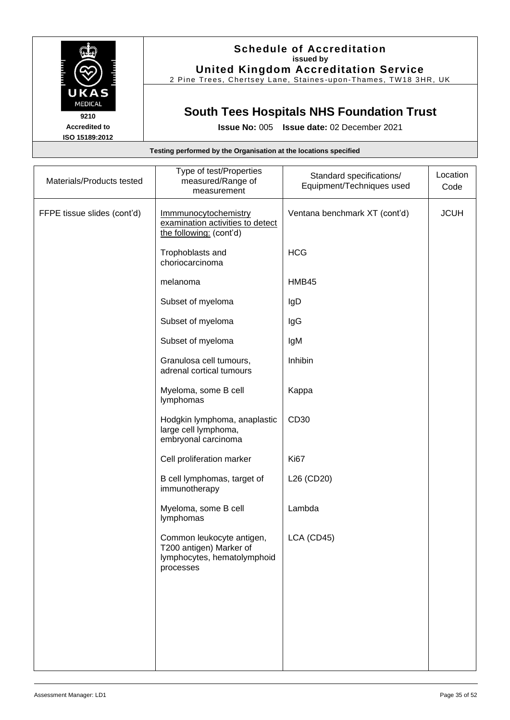

## **Schedule of Accreditation issued by United Kingdom Accreditation Service**

2 Pine Trees, Chertsey Lane, Staines -upon -Thames, TW18 3HR, UK

# **South Tees Hospitals NHS Foundation Trust**

| Testing performed by the Organisation at the locations specified |                                                                                                  |                               |             |
|------------------------------------------------------------------|--------------------------------------------------------------------------------------------------|-------------------------------|-------------|
| Materials/Products tested                                        | Type of test/Properties<br>measured/Range of                                                     | Standard specifications/      | Location    |
|                                                                  | measurement                                                                                      | Equipment/Techniques used     | Code        |
| FFPE tissue slides (cont'd)                                      | Immmunocytochemistry<br>examination activities to detect<br>the following: (cont'd)              | Ventana benchmark XT (cont'd) | <b>JCUH</b> |
|                                                                  | Trophoblasts and<br>choriocarcinoma                                                              | <b>HCG</b>                    |             |
|                                                                  | melanoma                                                                                         | HMB45                         |             |
|                                                                  | Subset of myeloma                                                                                | IgD                           |             |
|                                                                  | Subset of myeloma                                                                                | IgG                           |             |
|                                                                  | Subset of myeloma                                                                                | IgM                           |             |
|                                                                  | Granulosa cell tumours,<br>adrenal cortical tumours                                              | Inhibin                       |             |
|                                                                  | Myeloma, some B cell<br>lymphomas                                                                | Kappa                         |             |
|                                                                  | Hodgkin lymphoma, anaplastic<br>large cell lymphoma,<br>embryonal carcinoma                      | CD30                          |             |
|                                                                  | Cell proliferation marker                                                                        | <b>Ki67</b>                   |             |
|                                                                  | B cell lymphomas, target of<br>immunotherapy                                                     | L26 (CD20)                    |             |
|                                                                  | Myeloma, some B cell<br>lymphomas                                                                | Lambda                        |             |
|                                                                  | Common leukocyte antigen,<br>T200 antigen) Marker of<br>lymphocytes, hematolymphoid<br>processes | LCA (CD45)                    |             |
|                                                                  |                                                                                                  |                               |             |
|                                                                  |                                                                                                  |                               |             |
|                                                                  |                                                                                                  |                               |             |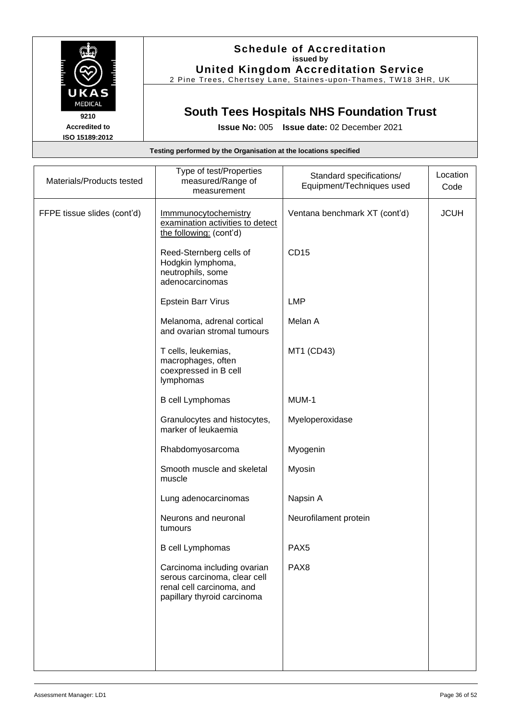

## **Schedule of Accreditation issued by United Kingdom Accreditation Service**

2 Pine Trees, Chertsey Lane, Staines -upon -Thames, TW18 3HR, UK

# **South Tees Hospitals NHS Foundation Trust**

|                             | Testing performed by the Organisation at the locations specified                                                        |                                                       |                  |
|-----------------------------|-------------------------------------------------------------------------------------------------------------------------|-------------------------------------------------------|------------------|
|                             |                                                                                                                         |                                                       |                  |
| Materials/Products tested   | Type of test/Properties<br>measured/Range of<br>measurement                                                             | Standard specifications/<br>Equipment/Techniques used | Location<br>Code |
| FFPE tissue slides (cont'd) | Immmunocytochemistry<br>examination activities to detect<br>the following: (cont'd)                                     | Ventana benchmark XT (cont'd)                         | <b>JCUH</b>      |
|                             | Reed-Sternberg cells of<br>Hodgkin lymphoma,<br>neutrophils, some<br>adenocarcinomas                                    | <b>CD15</b>                                           |                  |
|                             | Epstein Barr Virus                                                                                                      | <b>LMP</b>                                            |                  |
|                             | Melanoma, adrenal cortical<br>and ovarian stromal tumours                                                               | Melan A                                               |                  |
|                             | T cells, leukemias,<br>macrophages, often<br>coexpressed in B cell<br>lymphomas                                         | MT1 (CD43)                                            |                  |
|                             | <b>B</b> cell Lymphomas                                                                                                 | MUM-1                                                 |                  |
|                             | Granulocytes and histocytes,<br>marker of leukaemia                                                                     | Myeloperoxidase                                       |                  |
|                             | Rhabdomyosarcoma                                                                                                        | Myogenin                                              |                  |
|                             | Smooth muscle and skeletal<br>muscle                                                                                    | Myosin                                                |                  |
|                             | Lung adenocarcinomas                                                                                                    | Napsin A                                              |                  |
|                             | Neurons and neuronal<br>tumours                                                                                         | Neurofilament protein                                 |                  |
|                             | <b>B</b> cell Lymphomas                                                                                                 | PAX <sub>5</sub>                                      |                  |
|                             | Carcinoma including ovarian<br>serous carcinoma, clear cell<br>renal cell carcinoma, and<br>papillary thyroid carcinoma | PAX <sub>8</sub>                                      |                  |
|                             |                                                                                                                         |                                                       |                  |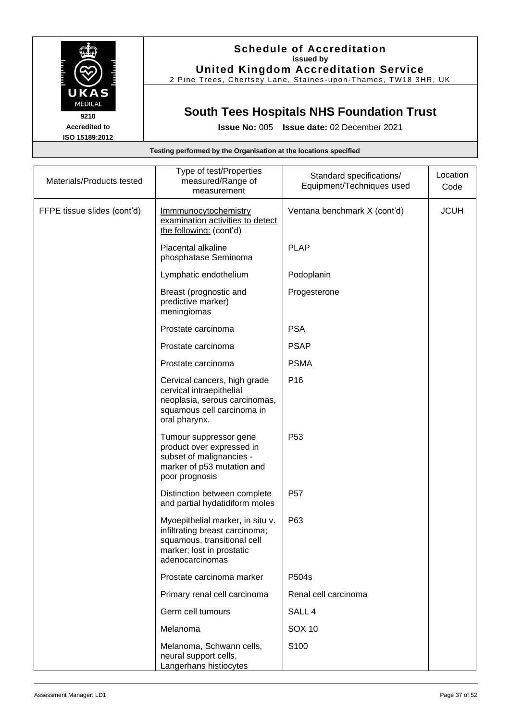

## **Schedule of Accreditation issued by United Kingdom Accreditation Service**

2 Pine Trees, Chertsey Lane, Staines -upon -Thames, TW18 3HR, UK

# **South Tees Hospitals NHS Foundation Trust**

**Issue No:** 005 **Issue date:** 02 December 2021

| Materials/Products tested   | Type of test/Properties<br>measured/Range of<br>measurement                                                                                       | Standard specifications/<br>Equipment/Techniques used | Location<br>Code |
|-----------------------------|---------------------------------------------------------------------------------------------------------------------------------------------------|-------------------------------------------------------|------------------|
| FFPE tissue slides (cont'd) | Immmunocytochemistry<br>examination activities to detect<br>the following: (cont'd)                                                               | Ventana benchmark X (cont'd)                          | <b>JCUH</b>      |
|                             | Placental alkaline<br>phosphatase Seminoma                                                                                                        | <b>PLAP</b>                                           |                  |
|                             | Lymphatic endothelium                                                                                                                             | Podoplanin                                            |                  |
|                             | Breast (prognostic and<br>predictive marker)<br>meningiomas                                                                                       | Progesterone                                          |                  |
|                             | Prostate carcinoma                                                                                                                                | <b>PSA</b>                                            |                  |
|                             | Prostate carcinoma                                                                                                                                | <b>PSAP</b>                                           |                  |
|                             | Prostate carcinoma                                                                                                                                | <b>PSMA</b>                                           |                  |
|                             | Cervical cancers, high grade<br>cervical intraepithelial<br>neoplasia, serous carcinomas,<br>squamous cell carcinoma in<br>oral pharynx.          | P <sub>16</sub>                                       |                  |
|                             | Tumour suppressor gene<br>product over expressed in<br>subset of malignancies -<br>marker of p53 mutation and<br>poor prognosis                   | P <sub>53</sub>                                       |                  |
|                             | Distinction between complete<br>and partial hydatidiform moles                                                                                    | P <sub>57</sub>                                       |                  |
|                             | Myoepithelial marker, in situ v.<br>infiltrating breast carcinoma;<br>squamous, transitional cell<br>marker; lost in prostatic<br>adenocarcinomas | P63                                                   |                  |
|                             | Prostate carcinoma marker                                                                                                                         | P504s                                                 |                  |
|                             | Primary renal cell carcinoma                                                                                                                      | Renal cell carcinoma                                  |                  |
|                             | Germ cell tumours                                                                                                                                 | SALL <sub>4</sub>                                     |                  |
|                             | Melanoma                                                                                                                                          | <b>SOX 10</b>                                         |                  |
|                             | Melanoma, Schwann cells,<br>neural support cells,<br>Langerhans histiocytes                                                                       | S100                                                  |                  |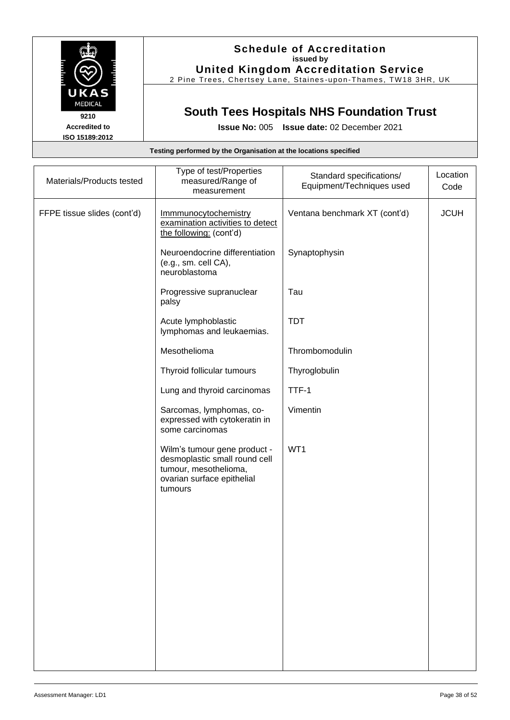

## **Schedule of Accreditation issued by United Kingdom Accreditation Service**

2 Pine Trees, Chertsey Lane, Staines -upon -Thames, TW18 3HR, UK

# **South Tees Hospitals NHS Foundation Trust**

|                             | Testing performed by the Organisation at the locations specified                                                                |                                                       |                  |
|-----------------------------|---------------------------------------------------------------------------------------------------------------------------------|-------------------------------------------------------|------------------|
| Materials/Products tested   | Type of test/Properties<br>measured/Range of<br>measurement                                                                     | Standard specifications/<br>Equipment/Techniques used | Location<br>Code |
| FFPE tissue slides (cont'd) | Immmunocytochemistry<br>examination activities to detect<br>the following: (cont'd)                                             | Ventana benchmark XT (cont'd)                         | <b>JCUH</b>      |
|                             | Neuroendocrine differentiation<br>(e.g., sm. cell CA),<br>neuroblastoma                                                         | Synaptophysin                                         |                  |
|                             | Progressive supranuclear<br>palsy                                                                                               | Tau                                                   |                  |
|                             | Acute lymphoblastic<br>lymphomas and leukaemias.                                                                                | <b>TDT</b>                                            |                  |
|                             | Mesothelioma                                                                                                                    | Thrombomodulin                                        |                  |
|                             | Thyroid follicular tumours                                                                                                      | Thyroglobulin                                         |                  |
|                             | Lung and thyroid carcinomas                                                                                                     | TTF-1                                                 |                  |
|                             | Sarcomas, lymphomas, co-<br>expressed with cytokeratin in<br>some carcinomas                                                    | Vimentin                                              |                  |
|                             | Wilm's tumour gene product -<br>desmoplastic small round cell<br>tumour, mesothelioma,<br>ovarian surface epithelial<br>tumours | WT1                                                   |                  |
|                             |                                                                                                                                 |                                                       |                  |
|                             |                                                                                                                                 |                                                       |                  |
|                             |                                                                                                                                 |                                                       |                  |
|                             |                                                                                                                                 |                                                       |                  |
|                             |                                                                                                                                 |                                                       |                  |
|                             |                                                                                                                                 |                                                       |                  |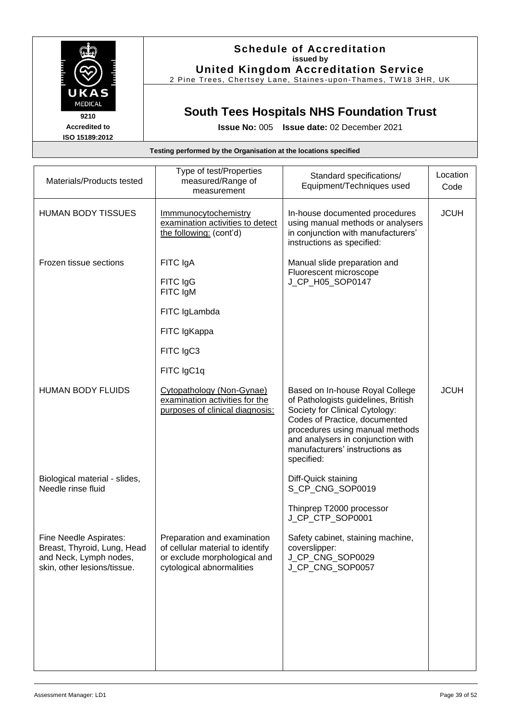

### **Schedule of Accreditation issued by United Kingdom Accreditation Service**

2 Pine Trees, Chertsey Lane, Staines -upon -Thames, TW18 3HR, UK

# **South Tees Hospitals NHS Foundation Trust**

**Issue No:** 005 **Issue date:** 02 December 2021

| Materials/Products tested                                                                                      | Type of test/Properties<br>measured/Range of<br>measurement                                                                  | Standard specifications/<br>Equipment/Techniques used                                                                                                                                                                                                             | Location<br>Code |
|----------------------------------------------------------------------------------------------------------------|------------------------------------------------------------------------------------------------------------------------------|-------------------------------------------------------------------------------------------------------------------------------------------------------------------------------------------------------------------------------------------------------------------|------------------|
| <b>HUMAN BODY TISSUES</b>                                                                                      | Immmunocytochemistry<br>examination activities to detect<br>the following: (cont'd)                                          | In-house documented procedures<br>using manual methods or analysers<br>in conjunction with manufacturers'<br>instructions as specified:                                                                                                                           | <b>JCUH</b>      |
| Frozen tissue sections                                                                                         | FITC IgA<br>FITC IgG<br>FITC IgM<br>FITC IgLambda<br>FITC IgKappa                                                            | Manual slide preparation and<br>Fluorescent microscope<br>J_CP_H05_SOP0147                                                                                                                                                                                        |                  |
|                                                                                                                | FITC IgC3<br>FITC IgC1q                                                                                                      |                                                                                                                                                                                                                                                                   |                  |
| <b>HUMAN BODY FLUIDS</b>                                                                                       | Cytopathology (Non-Gynae)<br>examination activities for the<br>purposes of clinical diagnosis:                               | Based on In-house Royal College<br>of Pathologists guidelines, British<br>Society for Clinical Cytology:<br>Codes of Practice, documented<br>procedures using manual methods<br>and analysers in conjunction with<br>manufacturers' instructions as<br>specified: | <b>JCUH</b>      |
| Biological material - slides,<br>Needle rinse fluid                                                            |                                                                                                                              | Diff-Quick staining<br>S_CP_CNG_SOP0019<br>Thinprep T2000 processor<br>J_CP_CTP_SOP0001                                                                                                                                                                           |                  |
| Fine Needle Aspirates:<br>Breast, Thyroid, Lung, Head<br>and Neck, Lymph nodes,<br>skin, other lesions/tissue. | Preparation and examination<br>of cellular material to identify<br>or exclude morphological and<br>cytological abnormalities | Safety cabinet, staining machine,<br>coverslipper:<br>J_CP_CNG_SOP0029<br>J_CP_CNG_SOP0057                                                                                                                                                                        |                  |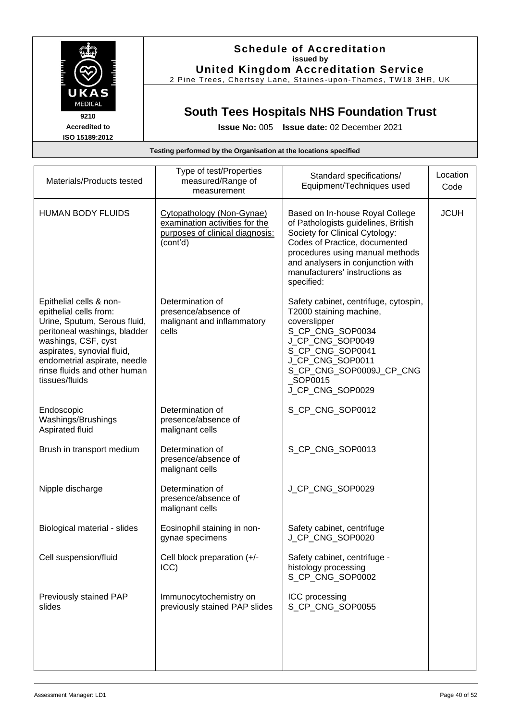

### **Schedule of Accreditation issued by United Kingdom Accreditation Service**

2 Pine Trees, Chertsey Lane, Staines -upon -Thames, TW18 3HR, UK

# **South Tees Hospitals NHS Foundation Trust**

**Issue No:** 005 **Issue date:** 02 December 2021

| Materials/Products tested                                                                                                                                                                                                                                | Type of test/Properties<br>measured/Range of<br>measurement                                                | Standard specifications/<br>Equipment/Techniques used                                                                                                                                                                                                             | Location<br>Code |
|----------------------------------------------------------------------------------------------------------------------------------------------------------------------------------------------------------------------------------------------------------|------------------------------------------------------------------------------------------------------------|-------------------------------------------------------------------------------------------------------------------------------------------------------------------------------------------------------------------------------------------------------------------|------------------|
| <b>HUMAN BODY FLUIDS</b>                                                                                                                                                                                                                                 | Cytopathology (Non-Gynae)<br>examination activities for the<br>purposes of clinical diagnosis:<br>(cont'd) | Based on In-house Royal College<br>of Pathologists guidelines, British<br>Society for Clinical Cytology:<br>Codes of Practice, documented<br>procedures using manual methods<br>and analysers in conjunction with<br>manufacturers' instructions as<br>specified: | <b>JCUH</b>      |
| Epithelial cells & non-<br>epithelial cells from:<br>Urine, Sputum, Serous fluid,<br>peritoneal washings, bladder<br>washings, CSF, cyst<br>aspirates, synovial fluid,<br>endometrial aspirate, needle<br>rinse fluids and other human<br>tissues/fluids | Determination of<br>presence/absence of<br>malignant and inflammatory<br>cells                             | Safety cabinet, centrifuge, cytospin,<br>T2000 staining machine,<br>coverslipper<br>S_CP_CNG_SOP0034<br>J_CP_CNG_SOP0049<br>S_CP_CNG_SOP0041<br>J_CP_CNG_SOP0011<br>S_CP_CNG_SOP0009J_CP_CNG<br>SOP0015<br>J_CP_CNG_SOP0029                                       |                  |
| Endoscopic<br>Washings/Brushings<br>Aspirated fluid                                                                                                                                                                                                      | Determination of<br>presence/absence of<br>malignant cells                                                 | S_CP_CNG_SOP0012                                                                                                                                                                                                                                                  |                  |
| Brush in transport medium                                                                                                                                                                                                                                | Determination of<br>presence/absence of<br>malignant cells                                                 | S_CP_CNG_SOP0013                                                                                                                                                                                                                                                  |                  |
| Nipple discharge                                                                                                                                                                                                                                         | Determination of<br>presence/absence of<br>malignant cells                                                 | J_CP_CNG_SOP0029                                                                                                                                                                                                                                                  |                  |
| Biological material - slides                                                                                                                                                                                                                             | Eosinophil staining in non-<br>gynae specimens                                                             | Safety cabinet, centrifuge<br>J_CP_CNG_SOP0020                                                                                                                                                                                                                    |                  |
| Cell suspension/fluid                                                                                                                                                                                                                                    | Cell block preparation (+/-<br>ICC                                                                         | Safety cabinet, centrifuge -<br>histology processing<br>S_CP_CNG_SOP0002                                                                                                                                                                                          |                  |
| Previously stained PAP<br>slides                                                                                                                                                                                                                         | Immunocytochemistry on<br>previously stained PAP slides                                                    | ICC processing<br>S_CP_CNG_SOP0055                                                                                                                                                                                                                                |                  |
|                                                                                                                                                                                                                                                          |                                                                                                            |                                                                                                                                                                                                                                                                   |                  |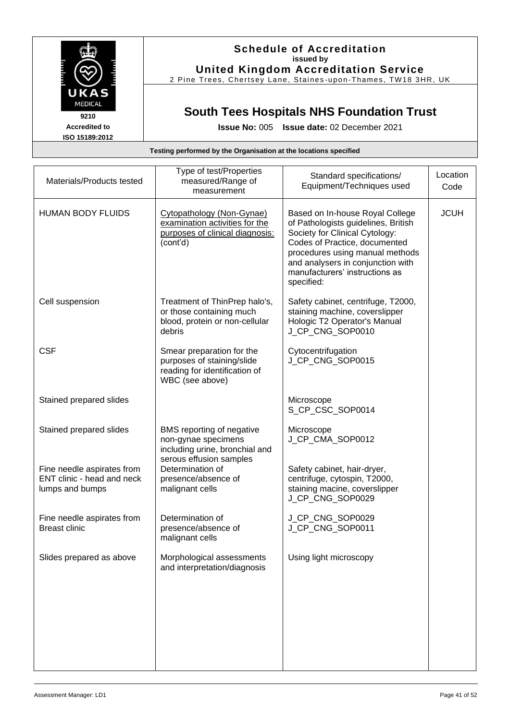

## **Schedule of Accreditation issued by United Kingdom Accreditation Service**

2 Pine Trees, Chertsey Lane, Staines -upon -Thames, TW18 3HR, UK

# **South Tees Hospitals NHS Foundation Trust**

| Testing performed by the Organisation at the locations specified |  |
|------------------------------------------------------------------|--|
|------------------------------------------------------------------|--|

| Materials/Products tested                                                                              | Type of test/Properties<br>measured/Range of<br>measurement                                                                                                                 | Standard specifications/<br>Equipment/Techniques used                                                                                                                                                                                                             | Location<br>Code |
|--------------------------------------------------------------------------------------------------------|-----------------------------------------------------------------------------------------------------------------------------------------------------------------------------|-------------------------------------------------------------------------------------------------------------------------------------------------------------------------------------------------------------------------------------------------------------------|------------------|
| <b>HUMAN BODY FLUIDS</b>                                                                               | Cytopathology (Non-Gynae)<br>examination activities for the<br>purposes of clinical diagnosis:<br>(cont'd)                                                                  | Based on In-house Royal College<br>of Pathologists guidelines, British<br>Society for Clinical Cytology:<br>Codes of Practice, documented<br>procedures using manual methods<br>and analysers in conjunction with<br>manufacturers' instructions as<br>specified: | <b>JCUH</b>      |
| Cell suspension                                                                                        | Treatment of ThinPrep halo's,<br>or those containing much<br>blood, protein or non-cellular<br>debris                                                                       | Safety cabinet, centrifuge, T2000,<br>staining machine, coverslipper<br>Hologic T2 Operator's Manual<br>J_CP_CNG_SOP0010                                                                                                                                          |                  |
| <b>CSF</b>                                                                                             | Smear preparation for the<br>purposes of staining/slide<br>reading for identification of<br>WBC (see above)                                                                 | Cytocentrifugation<br>J_CP_CNG_SOP0015                                                                                                                                                                                                                            |                  |
| Stained prepared slides                                                                                |                                                                                                                                                                             | Microscope<br>S_CP_CSC_SOP0014                                                                                                                                                                                                                                    |                  |
| Stained prepared slides<br>Fine needle aspirates from<br>ENT clinic - head and neck<br>lumps and bumps | BMS reporting of negative<br>non-gynae specimens<br>including urine, bronchial and<br>serous effusion samples<br>Determination of<br>presence/absence of<br>malignant cells | Microscope<br>J_CP_CMA_SOP0012<br>Safety cabinet, hair-dryer,<br>centrifuge, cytospin, T2000,<br>staining macine, coverslipper<br>J_CP_CNG_SOP0029                                                                                                                |                  |
| Fine needle aspirates from<br><b>Breast clinic</b>                                                     | Determination of<br>presence/absence of<br>malignant cells                                                                                                                  | J_CP_CNG_SOP0029<br>J_CP_CNG_SOP0011                                                                                                                                                                                                                              |                  |
| Slides prepared as above                                                                               | Morphological assessments<br>and interpretation/diagnosis                                                                                                                   | Using light microscopy                                                                                                                                                                                                                                            |                  |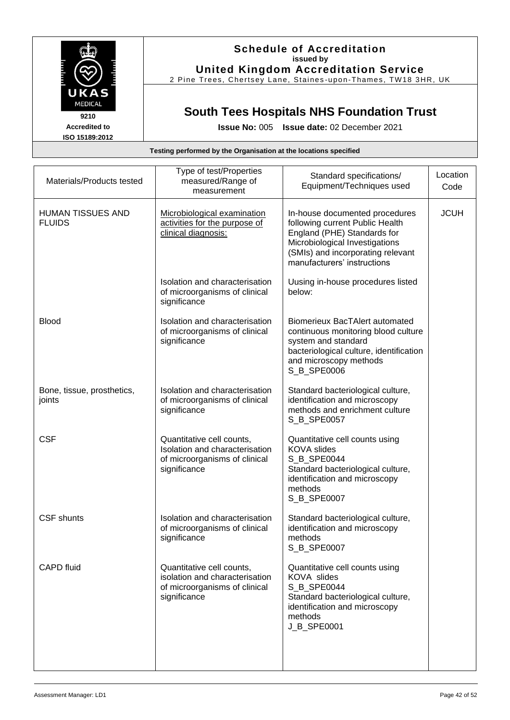

## **Schedule of Accreditation issued by United Kingdom Accreditation Service**

2 Pine Trees, Chertsey Lane, Staines -upon -Thames, TW18 3HR, UK

# **South Tees Hospitals NHS Foundation Trust**

**Issue No:** 005 **Issue date:** 02 December 2021

| i esting performed by the Organisation at the locations specified |                                                                                                              |                                                                                                                                                                                                        |                  |
|-------------------------------------------------------------------|--------------------------------------------------------------------------------------------------------------|--------------------------------------------------------------------------------------------------------------------------------------------------------------------------------------------------------|------------------|
| Materials/Products tested                                         | Type of test/Properties<br>measured/Range of<br>measurement                                                  | Standard specifications/<br>Equipment/Techniques used                                                                                                                                                  | Location<br>Code |
| <b>HUMAN TISSUES AND</b><br><b>FLUIDS</b>                         | Microbiological examination<br>activities for the purpose of<br>clinical diagnosis:                          | In-house documented procedures<br>following current Public Health<br>England (PHE) Standards for<br>Microbiological Investigations<br>(SMIs) and incorporating relevant<br>manufacturers' instructions | <b>JCUH</b>      |
|                                                                   | Isolation and characterisation<br>of microorganisms of clinical<br>significance                              | Uusing in-house procedures listed<br>below:                                                                                                                                                            |                  |
| <b>Blood</b>                                                      | Isolation and characterisation<br>of microorganisms of clinical<br>significance                              | <b>Biomerieux BacTAlert automated</b><br>continuous monitoring blood culture<br>system and standard<br>bacteriological culture, identification<br>and microscopy methods<br>S_B_SPE0006                |                  |
| Bone, tissue, prosthetics,<br>joints                              | Isolation and characterisation<br>of microorganisms of clinical<br>significance                              | Standard bacteriological culture,<br>identification and microscopy<br>methods and enrichment culture<br>S_B_SPE0057                                                                                    |                  |
| <b>CSF</b>                                                        | Quantitative cell counts,<br>Isolation and characterisation<br>of microorganisms of clinical<br>significance | Quantitative cell counts using<br><b>KOVA</b> slides<br>S_B_SPE0044<br>Standard bacteriological culture,<br>identification and microscopy<br>methods<br>S_B_SPE0007                                    |                  |
| <b>CSF</b> shunts                                                 | Isolation and characterisation<br>of microorganisms of clinical<br>significance                              | Standard bacteriological culture,<br>identification and microscopy<br>methods<br>S_B_SPE0007                                                                                                           |                  |
| <b>CAPD fluid</b>                                                 | Quantitative cell counts,<br>isolation and characterisation<br>of microorganisms of clinical<br>significance | Quantitative cell counts using<br>KOVA slides<br>S_B_SPE0044<br>Standard bacteriological culture,<br>identification and microscopy<br>methods<br>J_B_SPE0001                                           |                  |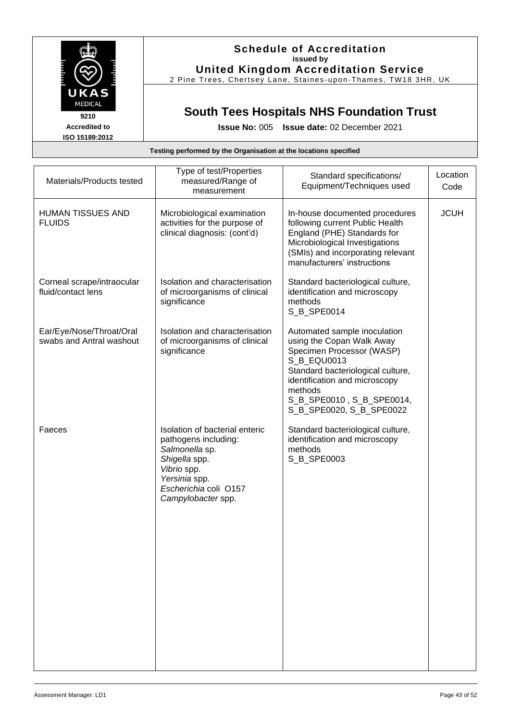

### **Schedule of Accreditation issued by United Kingdom Accreditation Service**

2 Pine Trees, Chertsey Lane, Staines -upon -Thames, TW18 3HR, UK

# **South Tees Hospitals NHS Foundation Trust**

**Issue No:** 005 **Issue date:** 02 December 2021

| Materials/Products tested                            | Type of test/Properties<br>measured/Range of<br>measurement                                                                                                              | Standard specifications/<br>Equipment/Techniques used                                                                                                                                                                                           | Location<br>Code |
|------------------------------------------------------|--------------------------------------------------------------------------------------------------------------------------------------------------------------------------|-------------------------------------------------------------------------------------------------------------------------------------------------------------------------------------------------------------------------------------------------|------------------|
| <b>HUMAN TISSUES AND</b><br><b>FLUIDS</b>            | Microbiological examination<br>activities for the purpose of<br>clinical diagnosis: (cont'd)                                                                             | In-house documented procedures<br>following current Public Health<br>England (PHE) Standards for<br>Microbiological Investigations<br>(SMIs) and incorporating relevant<br>manufacturers' instructions                                          | <b>JCUH</b>      |
| Corneal scrape/intraocular<br>fluid/contact lens     | Isolation and characterisation<br>of microorganisms of clinical<br>significance                                                                                          | Standard bacteriological culture,<br>identification and microscopy<br>methods<br>S_B_SPE0014                                                                                                                                                    |                  |
| Ear/Eye/Nose/Throat/Oral<br>swabs and Antral washout | Isolation and characterisation<br>of microorganisms of clinical<br>significance                                                                                          | Automated sample inoculation<br>using the Copan Walk Away<br>Specimen Processor (WASP)<br>S_B_EQU0013<br>Standard bacteriological culture,<br>identification and microscopy<br>methods<br>S_B_SPE0010, S_B_SPE0014,<br>S_B_SPE0020, S_B_SPE0022 |                  |
| Faeces                                               | Isolation of bacterial enteric<br>pathogens including:<br>Salmonella sp.<br>Shigella spp.<br>Vibrio spp.<br>Yersinia spp.<br>Escherichia coli O157<br>Campylobacter spp. | Standard bacteriological culture,<br>identification and microscopy<br>methods<br>S_B_SPE0003                                                                                                                                                    |                  |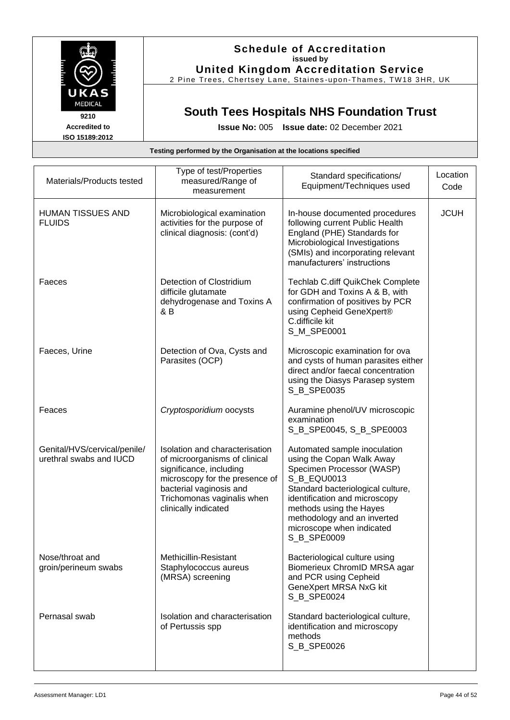

2 Pine Trees, Chertsey Lane, Staines -upon -Thames, TW18 3HR, UK

# **South Tees Hospitals NHS Foundation Trust**

**Accredited to ISO 15189:2012** **Issue No:** 005 **Issue date:** 02 December 2021

| Materials/Products tested                               | Type of test/Properties<br>measured/Range of<br>measurement                                                                                                                                                   | Standard specifications/<br>Equipment/Techniques used                                                                                                                                                                                                                             | Location<br>Code |
|---------------------------------------------------------|---------------------------------------------------------------------------------------------------------------------------------------------------------------------------------------------------------------|-----------------------------------------------------------------------------------------------------------------------------------------------------------------------------------------------------------------------------------------------------------------------------------|------------------|
| <b>HUMAN TISSUES AND</b><br><b>FLUIDS</b>               | Microbiological examination<br>activities for the purpose of<br>clinical diagnosis: (cont'd)                                                                                                                  | In-house documented procedures<br>following current Public Health<br>England (PHE) Standards for<br>Microbiological Investigations<br>(SMIs) and incorporating relevant<br>manufacturers' instructions                                                                            | <b>JCUH</b>      |
| Faeces                                                  | Detection of Clostridium<br>difficile glutamate<br>dehydrogenase and Toxins A<br>& B                                                                                                                          | <b>Techlab C.diff QuikChek Complete</b><br>for GDH and Toxins A & B, with<br>confirmation of positives by PCR<br>using Cepheid GeneXpert®<br>C.difficile kit<br>S_M_SPE0001                                                                                                       |                  |
| Faeces, Urine                                           | Detection of Ova, Cysts and<br>Parasites (OCP)                                                                                                                                                                | Microscopic examination for ova<br>and cysts of human parasites either<br>direct and/or faecal concentration<br>using the Diasys Parasep system<br>S_B_SPE0035                                                                                                                    |                  |
| Feaces                                                  | Cryptosporidium oocysts                                                                                                                                                                                       | Auramine phenol/UV microscopic<br>examination<br>S_B_SPE0045, S_B_SPE0003                                                                                                                                                                                                         |                  |
| Genital/HVS/cervical/penile/<br>urethral swabs and IUCD | Isolation and characterisation<br>of microorganisms of clinical<br>significance, including<br>microscopy for the presence of<br>bacterial vaginosis and<br>Trichomonas vaginalis when<br>clinically indicated | Automated sample inoculation<br>using the Copan Walk Away<br>Specimen Processor (WASP)<br>S_B_EQU0013<br>Standard bacteriological culture,<br>identification and microscopy<br>methods using the Hayes<br>methodology and an inverted<br>microscope when indicated<br>S_B_SPE0009 |                  |
| Nose/throat and<br>groin/perineum swabs                 | Methicillin-Resistant<br>Staphylococcus aureus<br>(MRSA) screening                                                                                                                                            | Bacteriological culture using<br>Biomerieux ChromID MRSA agar<br>and PCR using Cepheid<br>GeneXpert MRSA NxG kit<br>S_B_SPE0024                                                                                                                                                   |                  |
| Pernasal swab                                           | Isolation and characterisation<br>of Pertussis spp                                                                                                                                                            | Standard bacteriological culture,<br>identification and microscopy<br>methods<br>S_B_SPE0026                                                                                                                                                                                      |                  |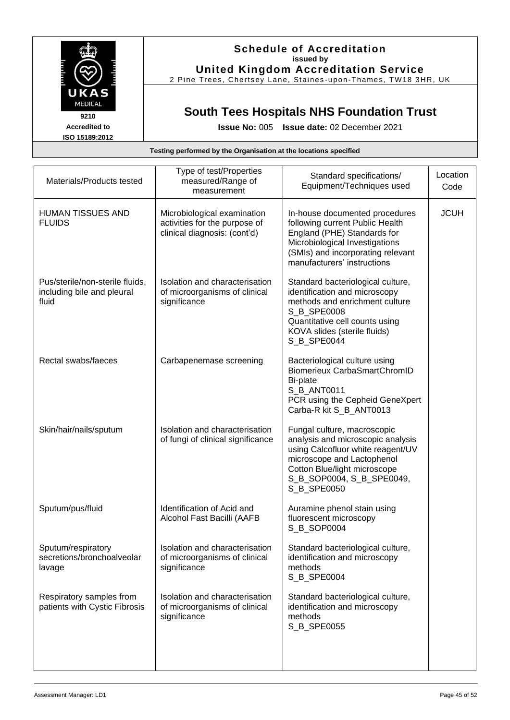

2 Pine Trees, Chertsey Lane, Staines -upon -Thames, TW18 3HR, UK

# **South Tees Hospitals NHS Foundation Trust**

**Accredited to ISO 15189:2012** **Issue No:** 005 **Issue date:** 02 December 2021

| Materials/Products tested                                              | Type of test/Properties<br>measured/Range of<br>measurement                                  | Standard specifications/<br>Equipment/Techniques used                                                                                                                                                           | Location<br>Code |
|------------------------------------------------------------------------|----------------------------------------------------------------------------------------------|-----------------------------------------------------------------------------------------------------------------------------------------------------------------------------------------------------------------|------------------|
| <b>HUMAN TISSUES AND</b><br><b>FLUIDS</b>                              | Microbiological examination<br>activities for the purpose of<br>clinical diagnosis: (cont'd) | In-house documented procedures<br>following current Public Health<br>England (PHE) Standards for<br>Microbiological Investigations<br>(SMIs) and incorporating relevant<br>manufacturers' instructions          | <b>JCUH</b>      |
| Pus/sterile/non-sterile fluids,<br>including bile and pleural<br>fluid | Isolation and characterisation<br>of microorganisms of clinical<br>significance              | Standard bacteriological culture,<br>identification and microscopy<br>methods and enrichment culture<br>S_B_SPE0008<br>Quantitative cell counts using<br>KOVA slides (sterile fluids)<br>S_B_SPE0044            |                  |
| Rectal swabs/faeces                                                    | Carbapenemase screening                                                                      | Bacteriological culture using<br><b>Biomerieux CarbaSmartChromID</b><br><b>Bi-plate</b><br>S_B_ANT0011<br>PCR using the Cepheid GeneXpert<br>Carba-R kit S_B_ANT0013                                            |                  |
| Skin/hair/nails/sputum                                                 | Isolation and characterisation<br>of fungi of clinical significance                          | Fungal culture, macroscopic<br>analysis and microscopic analysis<br>using Calcofluor white reagent/UV<br>microscope and Lactophenol<br>Cotton Blue/light microscope<br>S_B_SOP0004, S_B_SPE0049,<br>S_B_SPE0050 |                  |
| Sputum/pus/fluid                                                       | Identification of Acid and<br>Alcohol Fast Bacilli (AAFB                                     | Auramine phenol stain using<br>fluorescent microscopy<br>S_B_SOP0004                                                                                                                                            |                  |
| Sputum/respiratory<br>secretions/bronchoalveolar<br>lavage             | Isolation and characterisation<br>of microorganisms of clinical<br>significance              | Standard bacteriological culture,<br>identification and microscopy<br>methods<br>S B SPE0004                                                                                                                    |                  |
| Respiratory samples from<br>patients with Cystic Fibrosis              | Isolation and characterisation<br>of microorganisms of clinical<br>significance              | Standard bacteriological culture,<br>identification and microscopy<br>methods<br>S_B_SPE0055                                                                                                                    |                  |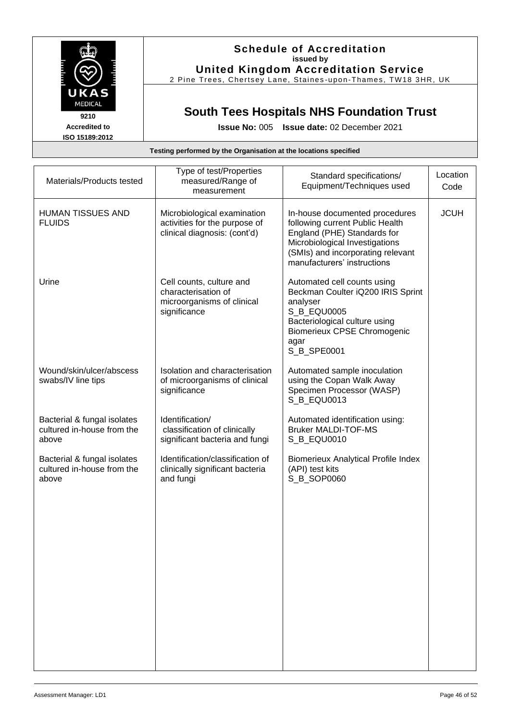

2 Pine Trees, Chertsey Lane, Staines -upon -Thames, TW18 3HR, UK

# **South Tees Hospitals NHS Foundation Trust**

**Accredited to ISO 15189:2012** **Issue No:** 005 **Issue date:** 02 December 2021

| Materials/Products tested                                          | Type of test/Properties<br>measured/Range of<br>measurement                                   | Standard specifications/<br>Equipment/Techniques used                                                                                                                                                  | Location<br>Code |
|--------------------------------------------------------------------|-----------------------------------------------------------------------------------------------|--------------------------------------------------------------------------------------------------------------------------------------------------------------------------------------------------------|------------------|
| <b>HUMAN TISSUES AND</b><br><b>FLUIDS</b>                          | Microbiological examination<br>activities for the purpose of<br>clinical diagnosis: (cont'd)  | In-house documented procedures<br>following current Public Health<br>England (PHE) Standards for<br>Microbiological Investigations<br>(SMIs) and incorporating relevant<br>manufacturers' instructions | <b>JCUH</b>      |
| Urine                                                              | Cell counts, culture and<br>characterisation of<br>microorganisms of clinical<br>significance | Automated cell counts using<br>Beckman Coulter iQ200 IRIS Sprint<br>analyser<br>S_B_EQU0005<br>Bacteriological culture using<br><b>Biomerieux CPSE Chromogenic</b><br>agar<br>S_B_SPE0001              |                  |
| Wound/skin/ulcer/abscess<br>swabs/IV line tips                     | Isolation and characterisation<br>of microorganisms of clinical<br>significance               | Automated sample inoculation<br>using the Copan Walk Away<br>Specimen Processor (WASP)<br>S B EQU0013                                                                                                  |                  |
| Bacterial & fungal isolates<br>cultured in-house from the<br>above | Identification/<br>classification of clinically<br>significant bacteria and fungi             | Automated identification using:<br><b>Bruker MALDI-TOF-MS</b><br>S_B_EQU0010                                                                                                                           |                  |
| Bacterial & fungal isolates<br>cultured in-house from the<br>above | Identification/classification of<br>clinically significant bacteria<br>and fungi              | <b>Biomerieux Analytical Profile Index</b><br>(API) test kits<br>S_B_SOP0060                                                                                                                           |                  |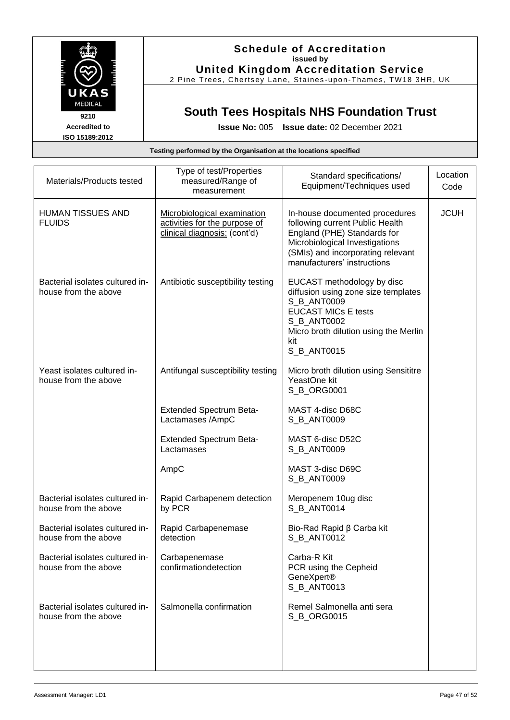

### **Schedule of Accreditation issued by United Kingdom Accreditation Service**

2 Pine Trees, Chertsey Lane, Staines -upon -Thames, TW18 3HR, UK

# **South Tees Hospitals NHS Foundation Trust**

**Issue No:** 005 **Issue date:** 02 December 2021

| Materials/Products tested                               | Type of test/Properties<br>measured/Range of<br>measurement                                  | Standard specifications/<br>Equipment/Techniques used                                                                                                                                                  | Location<br>Code |
|---------------------------------------------------------|----------------------------------------------------------------------------------------------|--------------------------------------------------------------------------------------------------------------------------------------------------------------------------------------------------------|------------------|
| <b>HUMAN TISSUES AND</b><br><b>FLUIDS</b>               | Microbiological examination<br>activities for the purpose of<br>clinical diagnosis: (cont'd) | In-house documented procedures<br>following current Public Health<br>England (PHE) Standards for<br>Microbiological Investigations<br>(SMIs) and incorporating relevant<br>manufacturers' instructions | <b>JCUH</b>      |
| Bacterial isolates cultured in-<br>house from the above | Antibiotic susceptibility testing                                                            | EUCAST methodology by disc<br>diffusion using zone size templates<br>S_B_ANT0009<br><b>EUCAST MICs E tests</b><br>S_B_ANT0002<br>Micro broth dilution using the Merlin<br>kit<br>S_B_ANT0015           |                  |
| Yeast isolates cultured in-<br>house from the above     | Antifungal susceptibility testing                                                            | Micro broth dilution using Sensititre<br>YeastOne kit<br>S_B_ORG0001                                                                                                                                   |                  |
|                                                         | <b>Extended Spectrum Beta-</b><br>Lactamases /AmpC                                           | MAST 4-disc D68C<br>S_B_ANT0009                                                                                                                                                                        |                  |
|                                                         | <b>Extended Spectrum Beta-</b><br>Lactamases                                                 | MAST 6-disc D52C<br>S_B_ANT0009                                                                                                                                                                        |                  |
|                                                         | AmpC                                                                                         | MAST 3-disc D69C<br>S_B_ANT0009                                                                                                                                                                        |                  |
| Bacterial isolates cultured in-<br>house from the above | Rapid Carbapenem detection<br>by PCR                                                         | Meropenem 10ug disc<br>S B ANT0014                                                                                                                                                                     |                  |
| Bacterial isolates cultured in-<br>house from the above | Rapid Carbapenemase<br>detection                                                             | Bio-Rad Rapid β Carba kit<br>S_B_ANT0012                                                                                                                                                               |                  |
| Bacterial isolates cultured in-<br>house from the above | Carbapenemase<br>confirmationdetection                                                       | Carba-R Kit<br>PCR using the Cepheid<br>GeneXpert®<br>S_B_ANT0013                                                                                                                                      |                  |
| Bacterial isolates cultured in-<br>house from the above | Salmonella confirmation                                                                      | Remel Salmonella anti sera<br>S_B_ORG0015                                                                                                                                                              |                  |
|                                                         |                                                                                              |                                                                                                                                                                                                        |                  |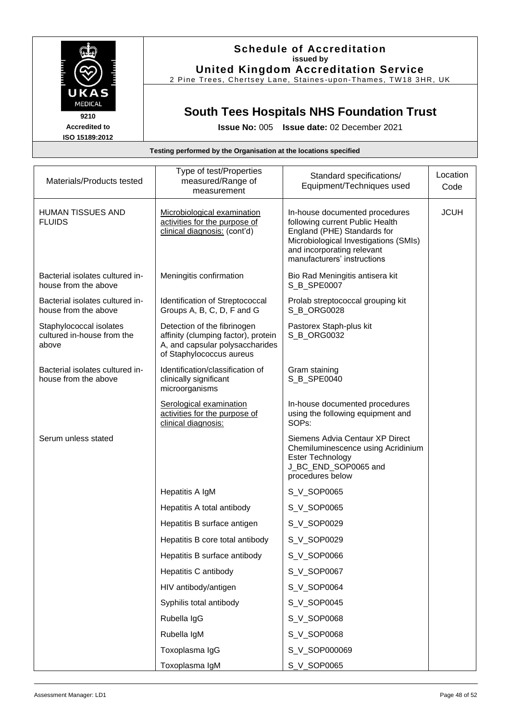

### **Schedule of Accreditation issued by United Kingdom Accreditation Service**

2 Pine Trees, Chertsey Lane, Staines -upon -Thames, TW18 3HR, UK

# **South Tees Hospitals NHS Foundation Trust**

**Issue No:** 005 **Issue date:** 02 December 2021

| Materials/Products tested                                      | Type of test/Properties<br>measured/Range of<br>measurement                                                                       | Standard specifications/<br>Equipment/Techniques used                                                                                                                                                  | Location<br>Code |
|----------------------------------------------------------------|-----------------------------------------------------------------------------------------------------------------------------------|--------------------------------------------------------------------------------------------------------------------------------------------------------------------------------------------------------|------------------|
| <b>HUMAN TISSUES AND</b><br><b>FLUIDS</b>                      | Microbiological examination<br>activities for the purpose of<br>clinical diagnosis: (cont'd)                                      | In-house documented procedures<br>following current Public Health<br>England (PHE) Standards for<br>Microbiological Investigations (SMIs)<br>and incorporating relevant<br>manufacturers' instructions | <b>JCUH</b>      |
| Bacterial isolates cultured in-<br>house from the above        | Meningitis confirmation                                                                                                           | Bio Rad Meningitis antisera kit<br>S B SPE0007                                                                                                                                                         |                  |
| Bacterial isolates cultured in-<br>house from the above        | Identification of Streptococcal<br>Groups A, B, C, D, F and G                                                                     | Prolab streptococcal grouping kit<br>S_B_ORG0028                                                                                                                                                       |                  |
| Staphylococcal isolates<br>cultured in-house from the<br>above | Detection of the fibrinogen<br>affinity (clumping factor), protein<br>A, and capsular polysaccharides<br>of Staphylococcus aureus | Pastorex Staph-plus kit<br>S_B_ORG0032                                                                                                                                                                 |                  |
| Bacterial isolates cultured in-<br>house from the above        | Identification/classification of<br>clinically significant<br>microorganisms                                                      | Gram staining<br>S_B_SPE0040                                                                                                                                                                           |                  |
|                                                                | Serological examination<br>activities for the purpose of<br>clinical diagnosis:                                                   | In-house documented procedures<br>using the following equipment and<br>SOPs:                                                                                                                           |                  |
| Serum unless stated                                            |                                                                                                                                   | Siemens Advia Centaur XP Direct<br>Chemiluminescence using Acridinium<br><b>Ester Technology</b><br>J_BC_END_SOP0065 and<br>procedures below                                                           |                  |
|                                                                | Hepatitis A IgM                                                                                                                   | S_V_SOP0065                                                                                                                                                                                            |                  |
|                                                                | Hepatitis A total antibody                                                                                                        | S_V_SOP0065                                                                                                                                                                                            |                  |
|                                                                | Hepatitis B surface antigen                                                                                                       | S_V_SOP0029                                                                                                                                                                                            |                  |
|                                                                | Hepatitis B core total antibody                                                                                                   | S_V_SOP0029                                                                                                                                                                                            |                  |
|                                                                | Hepatitis B surface antibody                                                                                                      | S_V_SOP0066                                                                                                                                                                                            |                  |
|                                                                | Hepatitis C antibody                                                                                                              | S_V_SOP0067                                                                                                                                                                                            |                  |
|                                                                | HIV antibody/antigen                                                                                                              | S V SOP0064                                                                                                                                                                                            |                  |
|                                                                | Syphilis total antibody                                                                                                           | S_V_SOP0045                                                                                                                                                                                            |                  |
|                                                                | Rubella IgG                                                                                                                       | S_V_SOP0068                                                                                                                                                                                            |                  |
|                                                                | Rubella IgM                                                                                                                       | S_V_SOP0068                                                                                                                                                                                            |                  |
|                                                                | Toxoplasma IgG                                                                                                                    | S_V_SOP000069                                                                                                                                                                                          |                  |
|                                                                | Toxoplasma IgM                                                                                                                    | S_V_SOP0065                                                                                                                                                                                            |                  |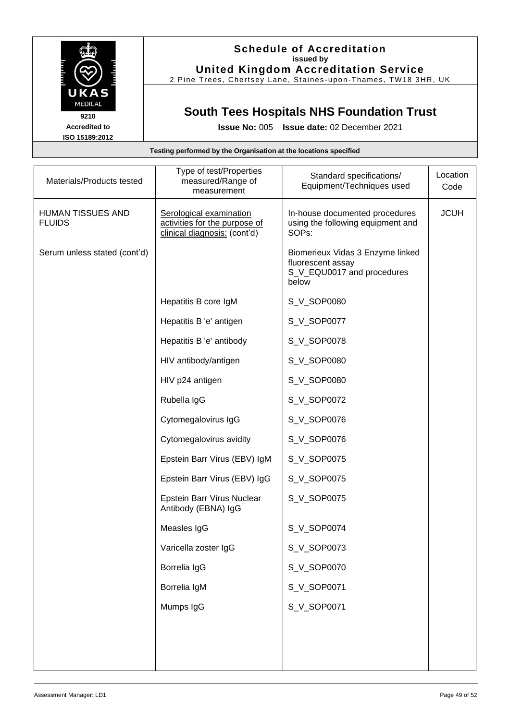

### **Schedule of Accreditation issued by United Kingdom Accreditation Service**

2 Pine Trees, Chertsey Lane, Staines -upon -Thames, TW18 3HR, UK

## **South Tees Hospitals NHS Foundation Trust**

**Issue No:** 005 **Issue date:** 02 December 2021

## **Testing performed by the Organisation at the locations specified** Materials/Products tested Type of test/Properties measured/Range of measurement Standard specifications/ Equipment/Techniques used **Location** Code HUMAN TISSUES AND FLUIDS Serological examination activities for the purpose of clinical diagnosis: (cont'd) In-house documented procedures using the following equipment and SOPs: **JCUH** Serum unless stated (cont'd) | signal and stated (cont'd) | Biomerieux Vidas 3 Enzyme linked fluorescent assay S\_V\_EQU0017 and procedures below Hepatitis B core IgM S\_V\_SOP0080 Hepatitis B 'e' antigen S\_V\_SOP0077 Hepatitis B 'e' antibody | S\_V\_SOP0078 HIV antibody/antigen S\_V\_SOP0080 HIV p24 antigen  $\vert$  S V SOP0080 Rubella IgG Subsets Subsetsion Subsetsion Subsetsion Subsetsion Subsetsion Subsetsion Subsetsion Subsetsion Su Cytomegalovirus IgG SQUESOP0076 Cytomegalovirus avidity **S** V SOP0076 Epstein Barr Virus (EBV) IgM | S\_V\_SOP0075 Epstein Barr Virus (EBV) IgG | S\_V\_SOP0075 Epstein Barr Virus Nuclear Antibody (EBNA) IgG S\_V\_SOP0075 Measles IgG Summary Summary Summary Services 1968 Varicella zoster IgG SU SOP0073 Borrelia IgG <br> S\_V\_SOP0070 Borrelia IgM SQP0071 Mumps IgG S V SOP0071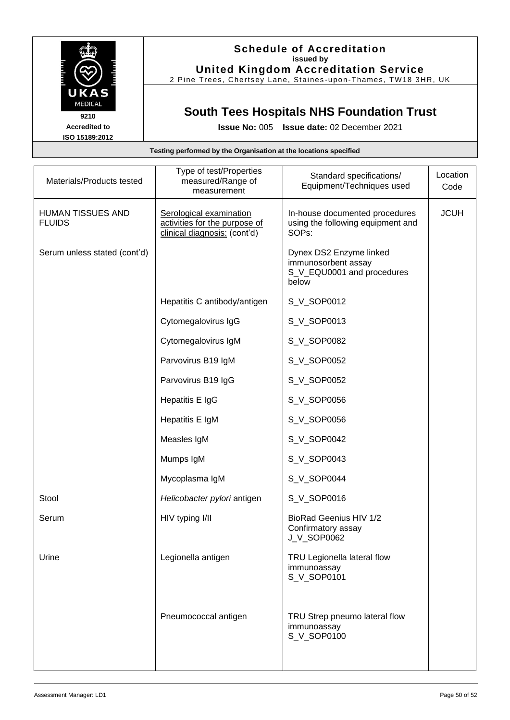

### **Schedule of Accreditation issued by United Kingdom Accreditation Service**

2 Pine Trees, Chertsey Lane, Staines -upon -Thames, TW18 3HR, UK

## **South Tees Hospitals NHS Foundation Trust**

**Issue No:** 005 **Issue date:** 02 December 2021

## **Testing performed by the Organisation at the locations specified** Materials/Products tested Type of test/Properties measured/Range of measurement Standard specifications/ Equipment/Techniques used **Location** Code HUMAN TISSUES AND FLUIDS Serological examination activities for the purpose of clinical diagnosis: (cont'd) In-house documented procedures using the following equipment and SOPs: **JCUH** Serum unless stated (cont'd) | Notice 1 and 2 and 2 and 2 bynex DS2 Enzyme linked immunosorbent assay S\_V\_EQU0001 and procedures below Hepatitis C antibody/antigen  $\vert$  S\_V\_SOP0012 Cytomegalovirus IgG SQUAS SOP0013 Cytomegalovirus IgM | S\_V\_SOP0082 Parvovirus B19 IgM SQ V SOP0052 Parvovirus B19 IgG SQUASSER SOP0052 Hepatitis E IgG SU SOP0056 Hepatitis E IgM SQP0056 Measles IgM SQP0042 Mumps IgM  $\vert$  S\_V\_SOP0043 Mycoplasma IgM | S\_V\_SOP0044 Stool **Helicobacter pylori** antigen S\_V\_SOP0016 Serum HIV typing I/II BioRad Geenius HIV 1/2 Confirmatory assay J\_V\_SOP0062 Urine **Legionella antigen** TRU Legionella lateral flow immunoassay S\_V\_SOP0101

Pneumococcal antigen TRU Strep pneumo lateral flow immunoassay S\_V\_SOP0100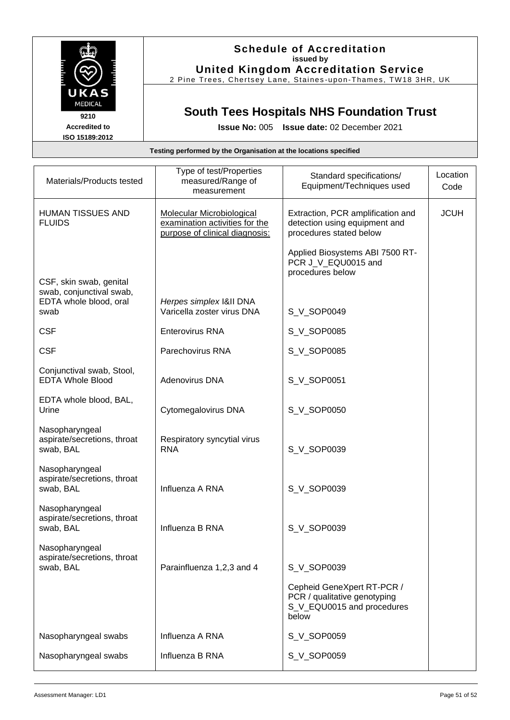

## **Schedule of Accreditation issued by United Kingdom Accreditation Service**

2 Pine Trees, Chertsey Lane, Staines -upon -Thames, TW18 3HR, UK

# **South Tees Hospitals NHS Foundation Trust**

| Testing performed by the Organisation at the locations specified |
|------------------------------------------------------------------|
|                                                                  |

| Materials/Products tested                                                     | Type of test/Properties<br>measured/Range of<br>measurement                                          | Standard specifications/<br>Equipment/Techniques used                                             | Location<br>Code |
|-------------------------------------------------------------------------------|------------------------------------------------------------------------------------------------------|---------------------------------------------------------------------------------------------------|------------------|
| <b>HUMAN TISSUES AND</b><br><b>FLUIDS</b>                                     | <b>Molecular Microbiological</b><br>examination activities for the<br>purpose of clinical diagnosis: | Extraction, PCR amplification and<br>detection using equipment and<br>procedures stated below     | <b>JCUH</b>      |
| CSF, skin swab, genital<br>swab, conjunctival swab,<br>EDTA whole blood, oral | Herpes simplex I&II DNA                                                                              | Applied Biosystems ABI 7500 RT-<br>PCR J_V_EQU0015 and<br>procedures below                        |                  |
| swab                                                                          | Varicella zoster virus DNA                                                                           | S_V_SOP0049                                                                                       |                  |
| <b>CSF</b>                                                                    | <b>Enterovirus RNA</b>                                                                               | S_V_SOP0085                                                                                       |                  |
| <b>CSF</b>                                                                    | Parechovirus RNA                                                                                     | S_V_SOP0085                                                                                       |                  |
| Conjunctival swab, Stool,<br><b>EDTA Whole Blood</b>                          | Adenovirus DNA                                                                                       | S_V_SOP0051                                                                                       |                  |
| EDTA whole blood, BAL,<br>Urine                                               | Cytomegalovirus DNA                                                                                  | S V SOP0050                                                                                       |                  |
| Nasopharyngeal<br>aspirate/secretions, throat<br>swab, BAL                    | Respiratory syncytial virus<br><b>RNA</b>                                                            | S_V_SOP0039                                                                                       |                  |
| Nasopharyngeal<br>aspirate/secretions, throat<br>swab, BAL                    | Influenza A RNA                                                                                      | S_V_SOP0039                                                                                       |                  |
| Nasopharyngeal<br>aspirate/secretions, throat<br>swab, BAL                    | Influenza B RNA                                                                                      | S_V_SOP0039                                                                                       |                  |
| Nasopharyngeal<br>aspirate/secretions, throat<br>swab, BAL                    | Parainfluenza 1,2,3 and 4                                                                            | S_V_SOP0039                                                                                       |                  |
|                                                                               |                                                                                                      | Cepheid GeneXpert RT-PCR /<br>PCR / qualitative genotyping<br>S V EQU0015 and procedures<br>below |                  |
| Nasopharyngeal swabs                                                          | Influenza A RNA                                                                                      | S_V_SOP0059                                                                                       |                  |
| Nasopharyngeal swabs                                                          | Influenza B RNA                                                                                      | S_V_SOP0059                                                                                       |                  |